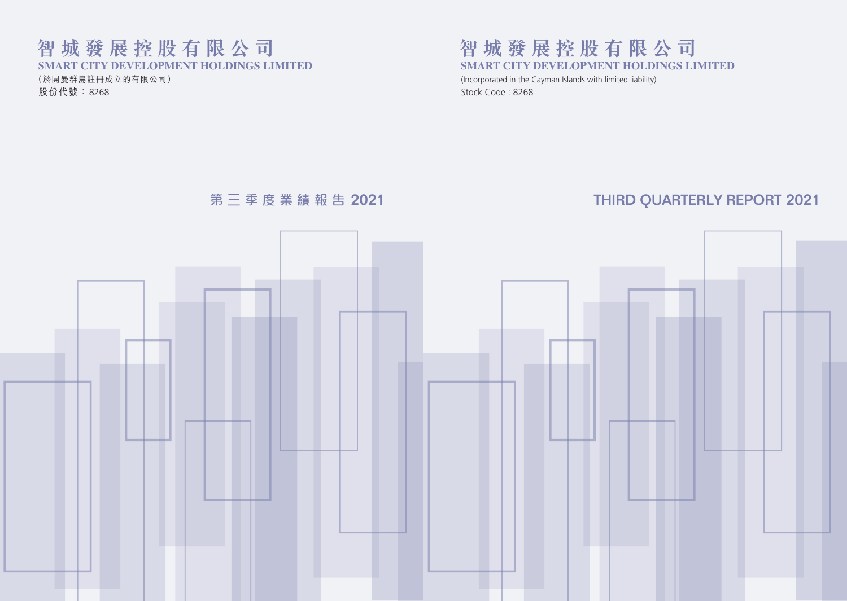# **智城發展控股有限公司 SMART CITY DEVELOPMENT HOLDINGS LIMITED**

(Incorporated in the Cayman Islands with limited liability) Stock Code : 8268

# THIRD QUARTERLY REPORT 2021

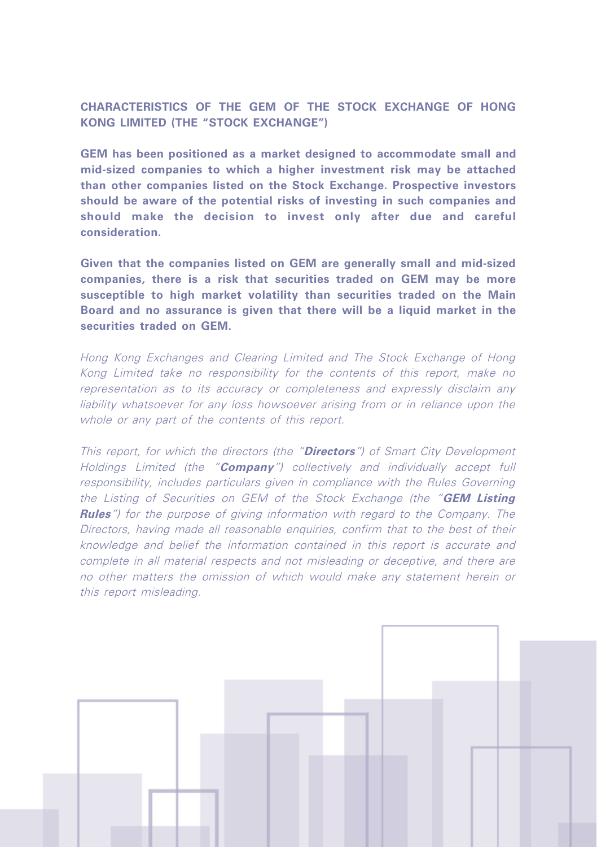# **CHARACTERISTICS OF THE GEM OF THE STOCK EXCHANGE OF HONG KONG LIMITED (THE "STOCK EXCHANGE")**

**GEM has been positioned as a market designed to accommodate small and mid-sized companies to which a higher investment risk may be attached than other companies listed on the Stock Exchange. Prospective investors should be aware of the potential risks of investing in such companies and should make the decision to invest only after due and careful consideration.**

**Given that the companies listed on GEM are generally small and mid-sized companies, there is a risk that securities traded on GEM may be more susceptible to high market volatility than securities traded on the Main Board and no assurance is given that there will be a liquid market in the securities traded on GEM.**

Hong Kong Exchanges and Clearing Limited and The Stock Exchange of Hong Kong Limited take no responsibility for the contents of this report, make no representation as to its accuracy or completeness and expressly disclaim any liability whatsoever for any loss howsoever arising from or in reliance upon the whole or any part of the contents of this report.

This report, for which the directors (the "**Directors**") of Smart City Development Holdings Limited (the "**Company**") collectively and individually accept full responsibility, includes particulars given in compliance with the Rules Governing the Listing of Securities on GEM of the Stock Exchange (the "**GEM Listing Rules**") for the purpose of giving information with regard to the Company. The Directors, having made all reasonable enquiries, confirm that to the best of their knowledge and belief the information contained in this report is accurate and complete in all material respects and not misleading or deceptive, and there are no other matters the omission of which would make any statement herein or this report misleading.

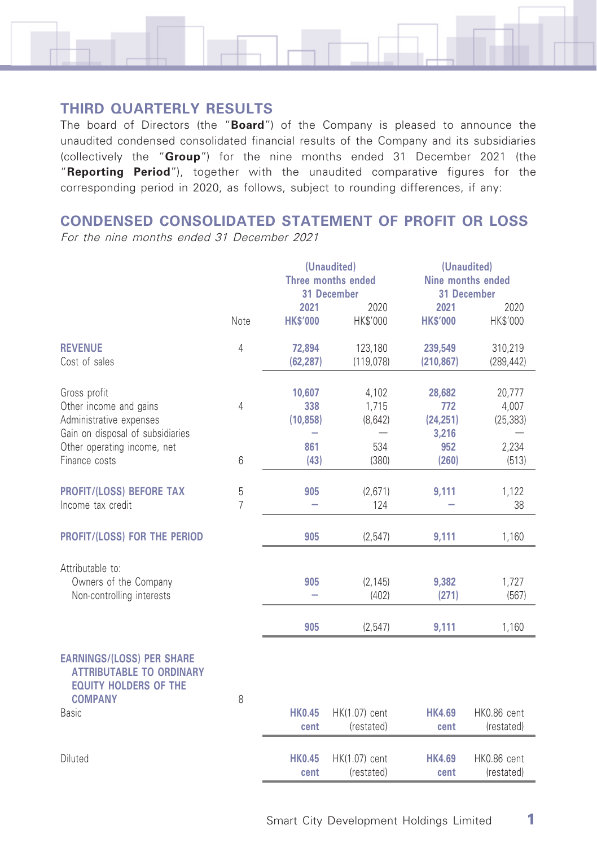

# **THIRD QUARTERLY RESULTS**

The board of Directors (the "**Board**") of the Company is pleased to announce the unaudited condensed consolidated financial results of the Company and its subsidiaries (collectively the "**Group**") for the nine months ended 31 December 2021 (the "**Reporting Period**"), together with the unaudited comparative figures for the corresponding period in 2020, as follows, subject to rounding differences, if any:

**CONDENSED CONSOLIDATED STATEMENT OF PROFIT OR LOSS**

For the nine months ended 31 December 2021

|                                                                                                     |                |                          | (Unaudited)        | (Unaudited)     |                   |  |
|-----------------------------------------------------------------------------------------------------|----------------|--------------------------|--------------------|-----------------|-------------------|--|
|                                                                                                     |                |                          | Three months ended |                 | Nine months ended |  |
|                                                                                                     |                |                          | 31 December        |                 | 31 December       |  |
|                                                                                                     |                | 2021                     | 2020               | 2021            | 2020              |  |
|                                                                                                     | Note           | <b>HK\$'000</b>          | <b>HK\$'000</b>    | <b>HK\$'000</b> | <b>HK\$'000</b>   |  |
| <b>REVENUE</b>                                                                                      | $\overline{4}$ | 72,894                   | 123,180            | 239,549         | 310,219           |  |
| Cost of sales                                                                                       |                | (62, 287)                | (119,078)          | (210, 867)      | (289, 442)        |  |
| Gross profit                                                                                        |                | 10,607                   | 4,102              | 28,682          | 20,777            |  |
| Other income and gains                                                                              | 4              | 338                      | 1,715              | 772             | 4,007             |  |
| Administrative expenses                                                                             |                | (10, 858)                | (8,642)            | (24, 251)       | (25, 383)         |  |
| Gain on disposal of subsidiaries                                                                    |                |                          |                    | 3,216           |                   |  |
| Other operating income, net                                                                         |                | 861                      | 534                | 952             | 2,234             |  |
| Finance costs                                                                                       | 6              | (43)                     | (380)              | (260)           | (513)             |  |
| <b>PROFIT/(LOSS) BEFORE TAX</b>                                                                     | 5              | 905                      | (2,671)            | 9,111           | 1,122             |  |
| Income tax credit                                                                                   | 7              | $\overline{\phantom{0}}$ | 124                |                 | 38                |  |
| PROFIT/(LOSS) FOR THE PERIOD                                                                        |                | 905                      | (2, 547)           | 9,111           | 1,160             |  |
| Attributable to:                                                                                    |                |                          |                    |                 |                   |  |
| Owners of the Company                                                                               |                | 905                      | (2, 145)           | 9,382           | 1,727             |  |
| Non-controlling interests                                                                           |                |                          | (402)              | (271)           | (567)             |  |
|                                                                                                     |                | 905                      |                    |                 |                   |  |
|                                                                                                     |                |                          | (2,547)            | 9,111           | 1,160             |  |
| <b>EARNINGS/(LOSS) PER SHARE</b><br><b>ATTRIBUTABLE TO ORDINARY</b><br><b>EQUITY HOLDERS OF THE</b> |                |                          |                    |                 |                   |  |
| <b>COMPANY</b>                                                                                      | 8              |                          |                    |                 |                   |  |
| Basic                                                                                               |                | <b>HK0.45</b>            | HK(1.07) cent      | <b>HK4.69</b>   | HK0.86 cent       |  |
|                                                                                                     |                | cent                     | (restated)         | cent            | (restated)        |  |
| Diluted                                                                                             |                | <b>HK0.45</b>            | HK(1.07) cent      | <b>HK4.69</b>   | HK0.86 cent       |  |
|                                                                                                     |                | cent                     | (restated)         | cent            | (restated)        |  |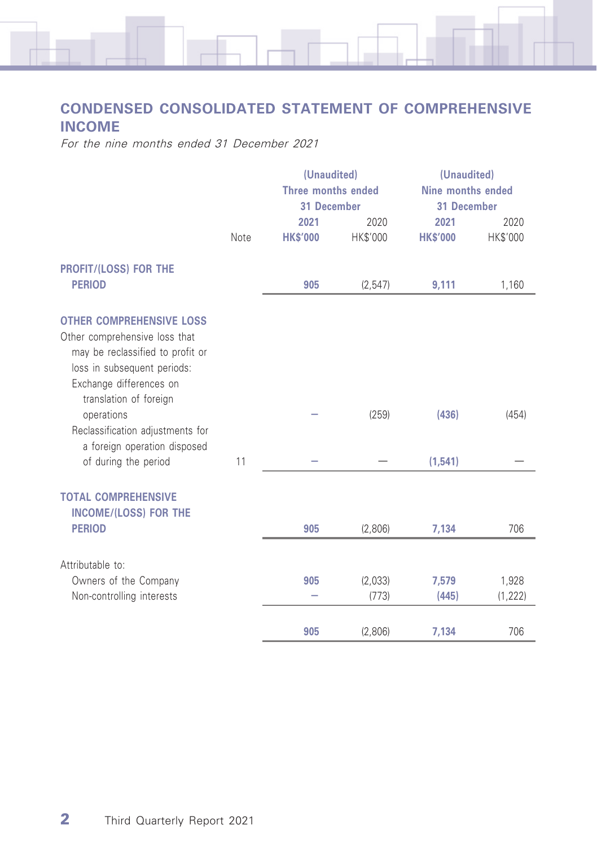

# **CONDENSED CONSOLIDATED STATEMENT OF COMPREHENSIVE INCOME**

For the nine months ended 31 December 2021

|                                                                                                                                                                                                                                                                            |      | (Unaudited)<br>Three months ended<br>31 December |                         | (Unaudited)<br>Nine months ended<br>31 December |                         |
|----------------------------------------------------------------------------------------------------------------------------------------------------------------------------------------------------------------------------------------------------------------------------|------|--------------------------------------------------|-------------------------|-------------------------------------------------|-------------------------|
|                                                                                                                                                                                                                                                                            | Note | 2021<br><b>HK\$'000</b>                          | 2020<br><b>HK\$'000</b> | 2021<br><b>HK\$'000</b>                         | 2020<br><b>HK\$'000</b> |
| <b>PROFIT/(LOSS) FOR THE</b><br><b>PERIOD</b>                                                                                                                                                                                                                              |      | 905                                              | (2,547)                 | 9,111                                           | 1,160                   |
| <b>OTHER COMPREHENSIVE LOSS</b><br>Other comprehensive loss that<br>may be reclassified to profit or<br>loss in subsequent periods:<br>Exchange differences on<br>translation of foreign<br>operations<br>Reclassification adjustments for<br>a foreign operation disposed |      |                                                  | (259)                   | (436)                                           | (454)                   |
| of during the period                                                                                                                                                                                                                                                       | 11   |                                                  |                         | (1,541)                                         |                         |
| <b>TOTAL COMPREHENSIVE</b><br><b>INCOME/(LOSS) FOR THE</b><br><b>PERIOD</b>                                                                                                                                                                                                |      | 905                                              | (2,806)                 | 7,134                                           | 706                     |
| Attributable to:                                                                                                                                                                                                                                                           |      |                                                  |                         |                                                 |                         |
| Owners of the Company<br>Non-controlling interests                                                                                                                                                                                                                         |      | 905                                              | (2,033)<br>(773)        | 7,579<br>(445)                                  | 1,928<br>(1, 222)       |
|                                                                                                                                                                                                                                                                            |      | 905                                              | (2,806)                 | 7,134                                           | 706                     |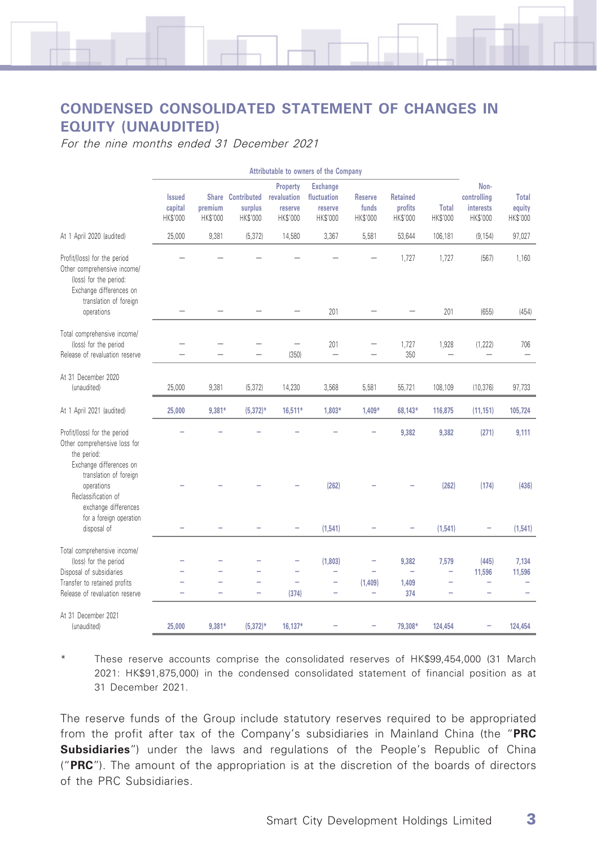# **CONDENSED CONSOLIDATED STATEMENT OF CHANGES IN EQUITY (UNAUDITED)**

For the nine months ended 31 December 2021

|                                                                                                                                            | Attributable to owners of the Company |                     |                                          |                                                |                                                       |                              |                                        |                                   |                                              |                             |
|--------------------------------------------------------------------------------------------------------------------------------------------|---------------------------------------|---------------------|------------------------------------------|------------------------------------------------|-------------------------------------------------------|------------------------------|----------------------------------------|-----------------------------------|----------------------------------------------|-----------------------------|
|                                                                                                                                            | <b>Issued</b><br>capital<br>HK\$'000  | premium<br>HK\$'000 | Share Contributed<br>surplus<br>HK\$'000 | Property<br>revaluation<br>reserve<br>HK\$'000 | <b>Exchange</b><br>fluctuation<br>reserve<br>HK\$'000 | Reserve<br>funds<br>HK\$'000 | <b>Retained</b><br>profits<br>HK\$'000 | Total<br>HK\$'000                 | Non-<br>controlling<br>interests<br>HK\$'000 | Total<br>equity<br>HK\$'000 |
| At 1 April 2020 (audited)                                                                                                                  | 25,000                                | 9,381               | (5, 372)                                 | 14,580                                         | 3,367                                                 | 5,581                        | 53,644                                 | 106,181                           | (9, 154)                                     | 97,027                      |
| Profit/(loss) for the period<br>Other comprehensive income/<br>(loss) for the period:<br>Exchange differences on<br>translation of foreign |                                       |                     |                                          |                                                |                                                       |                              | 1,727                                  | 1,727                             | (567)                                        | 1,160                       |
| operations                                                                                                                                 |                                       |                     |                                          |                                                | 201                                                   |                              |                                        | 201                               | (655)                                        | (454)                       |
| Total comprehensive income/<br>(loss) for the period<br>Release of revaluation reserve                                                     |                                       |                     |                                          | (350)                                          | 201<br>$\overline{\phantom{0}}$                       |                              | 1,727<br>350                           | 1,928<br>$\overline{\phantom{0}}$ | (1, 222)                                     | 706                         |
| At 31 December 2020<br>(unaudited)                                                                                                         | 25,000                                | 9,381               | (5, 372)                                 | 14,230                                         | 3,568                                                 | 5,581                        | 55,721                                 | 108,109                           | (10, 376)                                    | 97,733                      |
| At 1 April 2021 (audited)                                                                                                                  | 25.000                                | 9,381*              | $(5,372)*$                               | 16,511*                                        | 1,803*                                                | $1.409*$                     | 68,143*                                | 116,875                           | (11, 151)                                    | 105,724                     |
| Profit/(loss) for the period<br>Other comprehensive loss for<br>the period:                                                                |                                       |                     |                                          |                                                |                                                       |                              | 9,382                                  | 9,382                             | (271)                                        | 9,111                       |
| Exchange differences on<br>translation of foreign<br>operations<br>Reclassification of<br>exchange differences<br>for a foreign operation  |                                       |                     |                                          |                                                | (262)                                                 |                              |                                        | (262)                             | (174)                                        | (436)                       |
| disposal of                                                                                                                                |                                       |                     |                                          |                                                | (1,541)                                               |                              |                                        | (1,541)                           |                                              | (1,541)                     |
| Total comprehensive income/<br>(loss) for the period                                                                                       |                                       |                     |                                          | $\overline{\phantom{a}}$                       | (1,803)                                               | ۰                            | 9,382                                  | 7,579                             | (445)                                        | 7,134                       |
| Disposal of subsidiaries                                                                                                                   |                                       |                     |                                          | $\overline{\phantom{a}}$                       | ÷,                                                    | $\overline{a}$               | $\overline{\phantom{0}}$               | $\overline{\phantom{0}}$          | 11,596                                       | 11,596                      |
| Transfer to retained profits                                                                                                               |                                       |                     |                                          | $\overline{\phantom{a}}$                       | $\overline{\phantom{0}}$                              | (1,409)                      | 1,409                                  | ۰                                 | $\qquad \qquad -$                            | ۰                           |
| Release of revaluation reserve                                                                                                             |                                       | ÷                   | Ξ                                        | (374)                                          | $\overline{\phantom{0}}$                              | ÷,                           | 374                                    | ÷,                                | ÷,                                           |                             |
| At 31 December 2021<br>(unaudited)                                                                                                         | 25,000                                | $9,381*$            | $(5,372)*$                               | $16,137*$                                      |                                                       |                              | 79,308*                                | 124,454                           |                                              | 124,454                     |
|                                                                                                                                            |                                       |                     |                                          |                                                |                                                       |                              |                                        |                                   |                                              |                             |

These reserve accounts comprise the consolidated reserves of HK\$99,454,000 (31 March 2021: HK\$91,875,000) in the condensed consolidated statement of financial position as at 31 December 2021.

The reserve funds of the Group include statutory reserves required to be appropriated from the profit after tax of the Company's subsidiaries in Mainland China (the "**PRC Subsidiaries**") under the laws and regulations of the People's Republic of China ("**PRC**"). The amount of the appropriation is at the discretion of the boards of directors of the PRC Subsidiaries.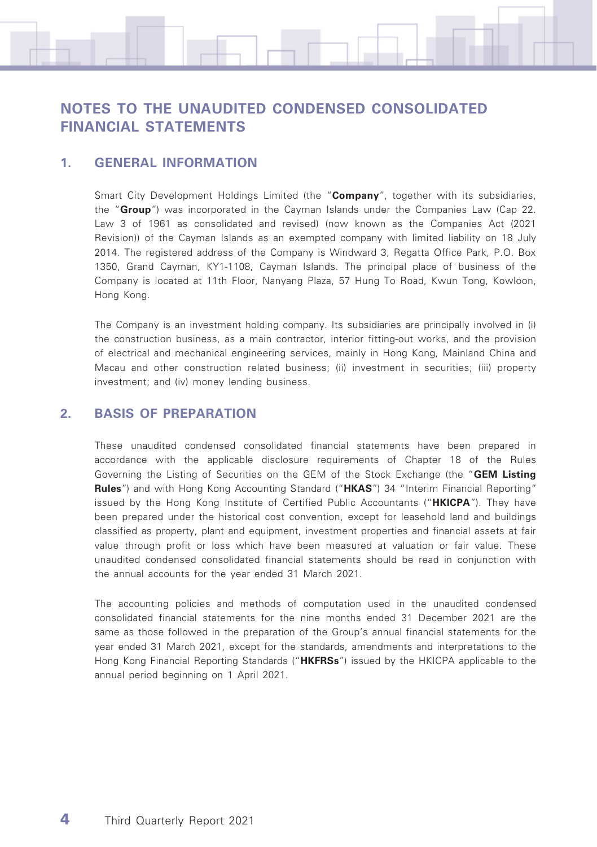# **NOTES TO THE UNAUDITED CONDENSED CONSOLIDATED FINANCIAL STATEMENTS**

# **1. GENERAL INFORMATION**

Smart City Development Holdings Limited (the "**Company**", together with its subsidiaries, the "**Group**") was incorporated in the Cayman Islands under the Companies Law (Cap 22. Law 3 of 1961 as consolidated and revised) (now known as the Companies Act (2021 Revision)) of the Cayman Islands as an exempted company with limited liability on 18 July 2014. The registered address of the Company is Windward 3, Regatta Office Park, P.O. Box 1350, Grand Cayman, KY1-1108, Cayman Islands. The principal place of business of the Company is located at 11th Floor, Nanyang Plaza, 57 Hung To Road, Kwun Tong, Kowloon, Hong Kong.

The Company is an investment holding company. Its subsidiaries are principally involved in (i) the construction business, as a main contractor, interior fitting-out works, and the provision of electrical and mechanical engineering services, mainly in Hong Kong, Mainland China and Macau and other construction related business; (ii) investment in securities; (iii) property investment; and (iv) money lending business.

### **2. BASIS OF PREPARATION**

These unaudited condensed consolidated financial statements have been prepared in accordance with the applicable disclosure requirements of Chapter 18 of the Rules Governing the Listing of Securities on the GEM of the Stock Exchange (the "**GEM Listing Rules**") and with Hong Kong Accounting Standard ("**HKAS**") 34 "Interim Financial Reporting" issued by the Hong Kong Institute of Certified Public Accountants ("**HKICPA**"). They have been prepared under the historical cost convention, except for leasehold land and buildings classified as property, plant and equipment, investment properties and financial assets at fair value through profit or loss which have been measured at valuation or fair value. These unaudited condensed consolidated financial statements should be read in conjunction with the annual accounts for the year ended 31 March 2021.

The accounting policies and methods of computation used in the unaudited condensed consolidated financial statements for the nine months ended 31 December 2021 are the same as those followed in the preparation of the Group's annual financial statements for the year ended 31 March 2021, except for the standards, amendments and interpretations to the Hong Kong Financial Reporting Standards ("**HKFRSs**") issued by the HKICPA applicable to the annual period beginning on 1 April 2021.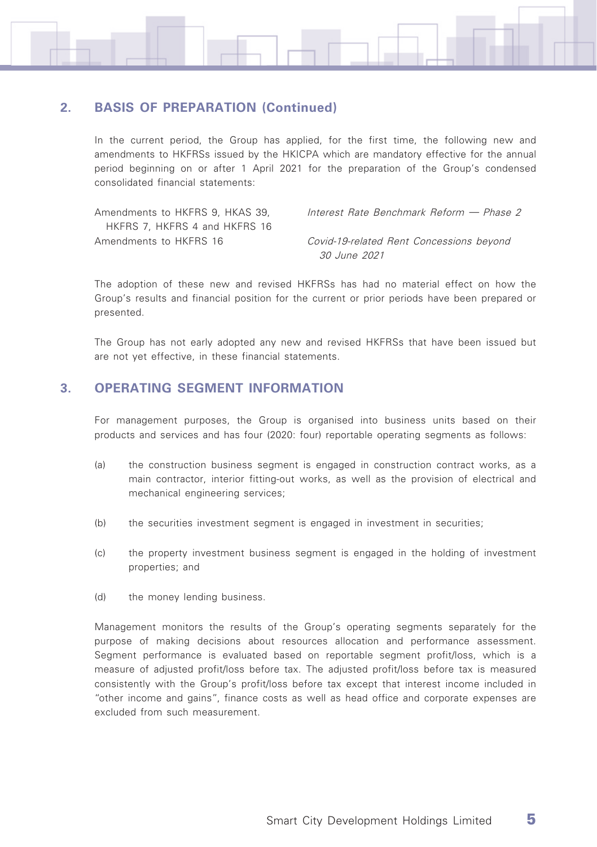### **2. BASIS OF PREPARATION (Continued)**

In the current period, the Group has applied, for the first time, the following new and amendments to HKFRSs issued by the HKICPA which are mandatory effective for the annual period beginning on or after 1 April 2021 for the preparation of the Group's condensed consolidated financial statements:

Amendments to HKFRS 9, HKAS 39, HKFRS 7, HKFRS 4 and HKFRS 16 Interest Rate Benchmark Reform — Phase 2

Amendments to HKFRS 16 Covid-19-related Rent Concessions beyond 30 June 2021

The adoption of these new and revised HKFRSs has had no material effect on how the Group's results and financial position for the current or prior periods have been prepared or presented.

The Group has not early adopted any new and revised HKFRSs that have been issued but are not yet effective, in these financial statements.

### **3. OPERATING SEGMENT INFORMATION**

For management purposes, the Group is organised into business units based on their products and services and has four (2020: four) reportable operating segments as follows:

- (a) the construction business segment is engaged in construction contract works, as a main contractor, interior fitting-out works, as well as the provision of electrical and mechanical engineering services;
- (b) the securities investment segment is engaged in investment in securities;
- (c) the property investment business segment is engaged in the holding of investment properties; and
- (d) the money lending business.

Management monitors the results of the Group's operating segments separately for the purpose of making decisions about resources allocation and performance assessment. Segment performance is evaluated based on reportable segment profit/loss, which is a measure of adjusted profit/loss before tax. The adjusted profit/loss before tax is measured consistently with the Group's profit/loss before tax except that interest income included in "other income and gains", finance costs as well as head office and corporate expenses are excluded from such measurement.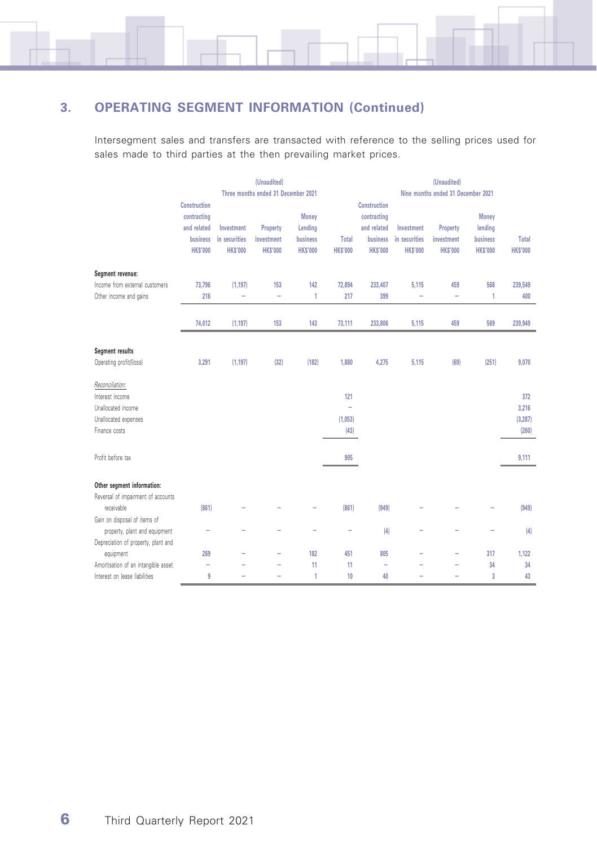# **3. OPERATING SEGMENT INFORMATION (Continued)**

Intersegment sales and transfers are transacted with reference to the selling prices used for sales made to third parties at the then prevailing market prices.

|                                     |                 |                | (Unaudited)                         |                 |                 |                                    |                 | (Unaudited)     |                 |                 |
|-------------------------------------|-----------------|----------------|-------------------------------------|-----------------|-----------------|------------------------------------|-----------------|-----------------|-----------------|-----------------|
|                                     |                 |                | Three months ended 31 December 2021 |                 |                 | Nine months ended 31 December 2021 |                 |                 |                 |                 |
|                                     | Construction    |                |                                     |                 |                 | Construction                       |                 |                 |                 |                 |
|                                     | contracting     |                |                                     | Money           |                 | contracting                        |                 |                 | Money           |                 |
|                                     | and related     | Investment     | Property                            | Lending         |                 | and related                        | Investment      | Property        | lending         |                 |
|                                     | business        | in securities  | investment                          | business        | Total           | business                           | in securities   | investment      | business        | Total           |
|                                     | <b>HK\$'000</b> | <b>HKS'000</b> | <b>HKS'000</b>                      | <b>HK\$'000</b> | <b>HK\$'000</b> | <b>HK\$'000</b>                    | <b>HK\$'000</b> | <b>HK\$'000</b> | <b>HK\$'000</b> | <b>HK\$'000</b> |
| Segment revenue:                    |                 |                |                                     |                 |                 |                                    |                 |                 |                 |                 |
| Income from external customers      | 73,796          | (1, 197)       | 153                                 | 142             | 72,894          | 233,407                            | 5,115           | 459             | 568             | 239,549         |
| Other income and gains              | 216             | $\overline{a}$ | $\overline{\phantom{0}}$            | 1               | 217             | 399                                | $\overline{a}$  | $\overline{a}$  | 1               | 400             |
|                                     |                 |                |                                     |                 |                 |                                    |                 |                 |                 |                 |
|                                     | 74,012          | (1, 197)       | 153                                 | 143             | 73,111          | 233,806                            | 5,115           | 459             | 569             | 239,949         |
|                                     |                 |                |                                     |                 |                 |                                    |                 |                 |                 |                 |
| Segment results                     |                 |                |                                     |                 |                 |                                    |                 |                 |                 |                 |
| Operating profit/(loss)             | 3,291           | (1, 197)       | $[32]$                              | (182)           | 1,880           | 4,275                              | 5,115           | (69)            | (251)           | 9,070           |
| Reconciliation:                     |                 |                |                                     |                 |                 |                                    |                 |                 |                 |                 |
| Interest income                     |                 |                |                                     |                 | 121             |                                    |                 |                 |                 | 372             |
| Unallocated income                  |                 |                |                                     |                 | L.              |                                    |                 |                 |                 | 3,216           |
| Unallocated expenses                |                 |                |                                     |                 | (1,053)         |                                    |                 |                 |                 | (3, 287)        |
| Finance costs                       |                 |                |                                     |                 | (43)            |                                    |                 |                 |                 | (260)           |
|                                     |                 |                |                                     |                 |                 |                                    |                 |                 |                 |                 |
| Profit before tax                   |                 |                |                                     |                 | 905             |                                    |                 |                 |                 | 9,111           |
| Other segment information:          |                 |                |                                     |                 |                 |                                    |                 |                 |                 |                 |
| Reversal of impairment of accounts  |                 |                |                                     |                 |                 |                                    |                 |                 |                 |                 |
| receivable                          | (861)           |                |                                     |                 | (861)           | (949)                              |                 |                 |                 | (949)           |
| Gain on disposal of items of        |                 |                |                                     |                 |                 |                                    |                 |                 |                 |                 |
| property, plant and equipment       | ۰               |                |                                     | J.              | L,              | (4)                                |                 |                 |                 | (4)             |
| Depreciation of property, plant and |                 |                |                                     |                 |                 |                                    |                 |                 |                 |                 |
| equipment                           | 269             |                | ÷                                   | 182             | 451             | 805                                |                 | -               | 317             | 1,122           |
| Amortisation of an intangible asset | $\overline{a}$  |                | J.                                  | 11              | 11              | $\overline{a}$                     |                 |                 | 34              | 34              |
| Interest on lease liabilities       | 9               |                |                                     | 1               | 10              | 40                                 |                 |                 | $\overline{3}$  | 43              |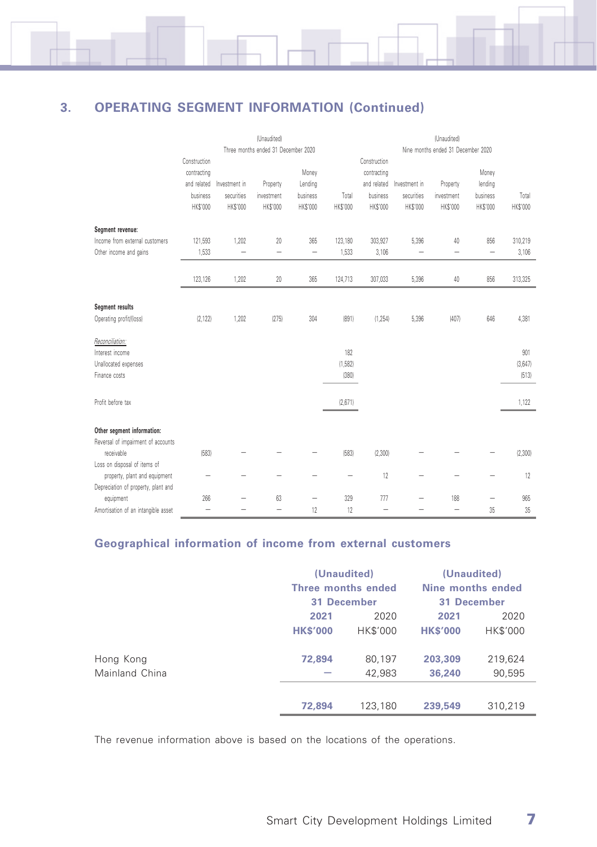# **3. OPERATING SEGMENT INFORMATION (Continued)**

|                                     |              |                          | (Unaudited)                         |                          |                |                                    |                          | (Unaudited)              |                          |                 |
|-------------------------------------|--------------|--------------------------|-------------------------------------|--------------------------|----------------|------------------------------------|--------------------------|--------------------------|--------------------------|-----------------|
|                                     |              |                          | Three months ended 31 December 2020 |                          |                | Nine months ended 31 December 2020 |                          |                          |                          |                 |
|                                     | Construction |                          |                                     |                          |                | Construction                       |                          |                          |                          |                 |
|                                     | contracting  |                          |                                     | Money                    |                | contracting                        |                          |                          | Money                    |                 |
|                                     | and related  | Investment in            | Property                            | Lending                  |                | and related                        | Investment in            | Property                 | lending                  |                 |
|                                     | business     | securities               | investment                          | business                 | Total          | business                           | securities               | investment               | business                 | Total           |
|                                     | HK\$'000     | <b>HKS'000</b>           | HK\$'000                            | HK\$'000                 | <b>HKS'000</b> | HK\$'000                           | HK\$'000                 | <b>HKS'000</b>           | HK\$'000                 | <b>HK\$'000</b> |
| Segment revenue:                    |              |                          |                                     |                          |                |                                    |                          |                          |                          |                 |
| Income from external customers      | 121,593      | 1,202                    | 20                                  | 365                      | 123,180        | 303,927                            | 5,396                    | 40                       | 856                      | 310,219         |
| Other income and gains              | 1,533        | $\overline{\phantom{0}}$ | $\overline{\phantom{0}}$            | $\overline{\phantom{0}}$ | 1,533          | 3,106                              | $\overline{\phantom{0}}$ | $\overline{\phantom{0}}$ | $\overline{\phantom{0}}$ | 3,106           |
|                                     |              |                          |                                     |                          |                |                                    |                          |                          |                          |                 |
|                                     |              |                          |                                     |                          |                |                                    |                          |                          |                          |                 |
|                                     | 123,126      | 1,202                    | 20                                  | 365                      | 124,713        | 307,033                            | 5,396                    | 40                       | 856                      | 313,325         |
|                                     |              |                          |                                     |                          |                |                                    |                          |                          |                          |                 |
| Segment results                     |              |                          |                                     |                          |                |                                    |                          |                          |                          |                 |
| Operating profit/(loss)             | (2, 122)     | 1,202                    | (275)                               | 304                      | (891)          | (1, 254)                           | 5,396                    | (407)                    | 646                      | 4,381           |
| Reconciliation:                     |              |                          |                                     |                          |                |                                    |                          |                          |                          |                 |
| Interest income                     |              |                          |                                     |                          | 182            |                                    |                          |                          |                          | 901             |
| Unallocated expenses                |              |                          |                                     |                          | (1,582)        |                                    |                          |                          |                          | (3, 647)        |
| Finance costs                       |              |                          |                                     |                          | (380)          |                                    |                          |                          |                          | (513)           |
|                                     |              |                          |                                     |                          |                |                                    |                          |                          |                          |                 |
| Profit before tax                   |              |                          |                                     |                          | (2,671)        |                                    |                          |                          |                          | 1,122           |
|                                     |              |                          |                                     |                          |                |                                    |                          |                          |                          |                 |
| Other segment information:          |              |                          |                                     |                          |                |                                    |                          |                          |                          |                 |
| Reversal of impairment of accounts  |              |                          |                                     |                          |                |                                    |                          |                          |                          |                 |
| receivable                          | (583)        |                          |                                     |                          | (583)          | (2,300)                            |                          |                          |                          | (2, 300)        |
| Loss on disposal of items of        |              |                          |                                     |                          |                |                                    |                          |                          |                          |                 |
| property, plant and equipment       |              |                          |                                     |                          | ۰              | 12                                 |                          |                          |                          | 12              |
| Depreciation of property, plant and |              |                          |                                     |                          |                |                                    |                          |                          |                          |                 |
| equipment                           | 266          |                          | 63                                  | -                        | 329            | 777                                |                          | 188                      | -                        | 965             |
| Amortisation of an intangible asset |              |                          | -                                   | 12                       | 12             | $\overline{\phantom{0}}$           |                          | $\overline{\phantom{a}}$ | 35                       | 35              |

# **Geographical information of income from external customers**

|                | (Unaudited)<br>Three months ended<br>31 December |                 | (Unaudited)<br>Nine months ended<br>31 December |                 |
|----------------|--------------------------------------------------|-----------------|-------------------------------------------------|-----------------|
|                |                                                  |                 |                                                 |                 |
|                |                                                  |                 |                                                 |                 |
|                | 2021                                             | 2020            | 2021                                            | 2020            |
|                | <b>HK\$'000</b>                                  | <b>HK\$'000</b> | <b>HK\$'000</b>                                 | <b>HK\$'000</b> |
| Hong Kong      | 72.894                                           | 80,197          | 203,309                                         | 219,624         |
| Mainland China |                                                  | 42,983          | 36,240                                          | 90,595          |
|                |                                                  |                 |                                                 |                 |
|                | 72.894                                           | 123,180         | 239,549                                         | 310.219         |

The revenue information above is based on the locations of the operations.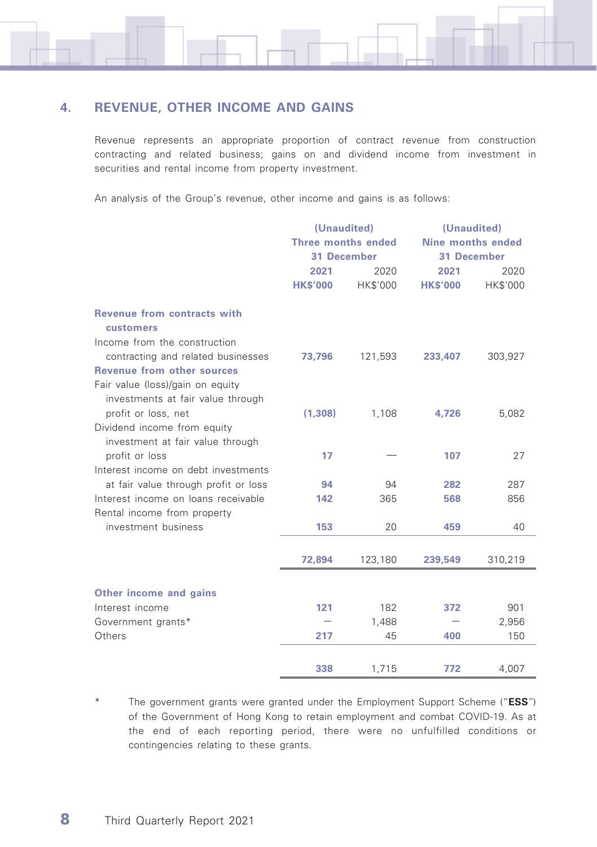

# **4. REVENUE, OTHER INCOME AND GAINS**

Revenue represents an appropriate proportion of contract revenue from construction contracting and related business; gains on and dividend income from investment in securities and rental income from property investment.

An analysis of the Group's revenue, other income and gains is as follows:

|                                                                       | (Unaudited)        |                 | (Unaudited)              |          |
|-----------------------------------------------------------------------|--------------------|-----------------|--------------------------|----------|
|                                                                       | Three months ended |                 | <b>Nine months ended</b> |          |
|                                                                       | 31 December        |                 | 31 December              |          |
|                                                                       | 2021               | 2020            | 2021                     | 2020     |
|                                                                       | <b>HK\$'000</b>    | <b>HK\$'000</b> | <b>HK\$'000</b>          | HK\$'000 |
| Revenue from contracts with<br>customers                              |                    |                 |                          |          |
| Income from the construction<br>contracting and related businesses    | 73,796             | 121,593         | 233,407                  | 303,927  |
| <b>Revenue from other sources</b>                                     |                    |                 |                          |          |
| Fair value (loss)/gain on equity<br>investments at fair value through |                    |                 |                          |          |
| profit or loss, net                                                   | (1,308)            | 1,108           | 4,726                    | 5,082    |
| Dividend income from equity<br>investment at fair value through       |                    |                 |                          |          |
| profit or loss                                                        | 17                 |                 | 107                      | 27       |
| Interest income on debt investments                                   |                    |                 |                          |          |
| at fair value through profit or loss                                  | 94                 | 94              | 282                      | 287      |
| Interest income on loans receivable<br>Rental income from property    | 142                | 365             | 568                      | 856      |
| investment business                                                   | 153                | 20              | 459                      | 40       |
|                                                                       |                    |                 |                          |          |
|                                                                       | 72,894             | 123,180         | 239,549                  | 310,219  |
| Other income and gains                                                |                    |                 |                          |          |
| Interest income                                                       | 121                | 182             | 372                      | 901      |
| Government grants*                                                    |                    | 1,488           |                          | 2,956    |
| Others                                                                | 217                | 45              | 400                      | 150      |
|                                                                       |                    |                 |                          |          |
|                                                                       | 338                | 1,715           | 772                      | 4,007    |

The government grants were granted under the Employment Support Scheme ("**ESS**") of the Government of Hong Kong to retain employment and combat COVID-19. As at the end of each reporting period, there were no unfulfilled conditions or contingencies relating to these grants.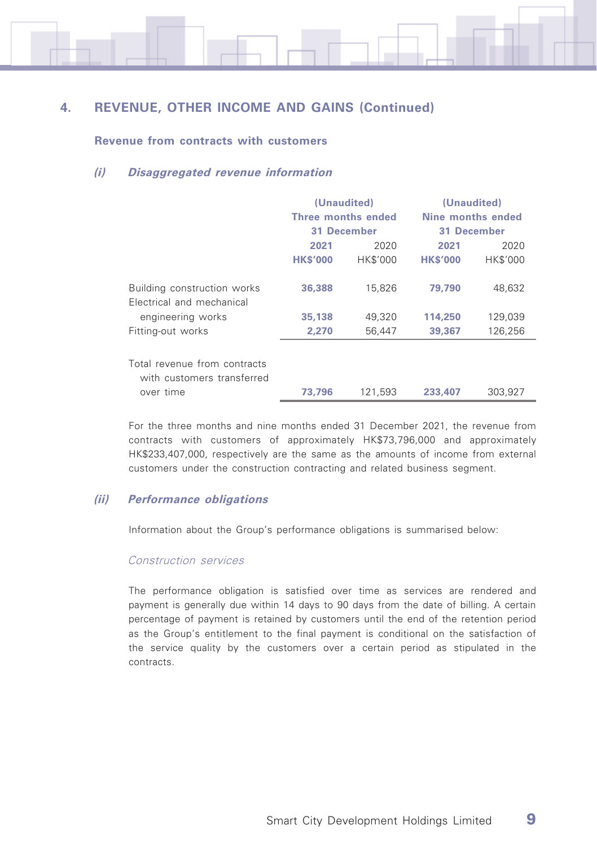

# **4. REVENUE, OTHER INCOME AND GAINS (Continued)**

#### **Revenue from contracts with customers**

#### **(i) Disaggregated revenue information**

|                                                            | (Unaudited)        |                 | (Unaudited)       |                 |  |  |
|------------------------------------------------------------|--------------------|-----------------|-------------------|-----------------|--|--|
|                                                            | Three months ended |                 | Nine months ended |                 |  |  |
|                                                            | 31 December        |                 |                   | 31 December     |  |  |
|                                                            | 2021               | 2020            | 2021              | 2020            |  |  |
|                                                            | <b>HK\$'000</b>    | <b>HK\$'000</b> | <b>HK\$'000</b>   | <b>HK\$'000</b> |  |  |
| Building construction works<br>Electrical and mechanical   | 36,388             | 15,826          | 79,790            | 48,632          |  |  |
| engineering works                                          | 35,138             | 49,320          | 114,250           | 129,039         |  |  |
| Fitting-out works                                          | 2,270              | 56.447          | 39,367            | 126.256         |  |  |
| Total revenue from contracts<br>with customers transferred |                    |                 |                   |                 |  |  |
| over time                                                  | 73,796             | 121.593         | 233,407           | 303.927         |  |  |

For the three months and nine months ended 31 December 2021, the revenue from contracts with customers of approximately HK\$73,796,000 and approximately HK\$233,407,000, respectively are the same as the amounts of income from external customers under the construction contracting and related business segment.

#### **(ii) Performance obligations**

Information about the Group's performance obligations is summarised below:

#### Construction services

The performance obligation is satisfied over time as services are rendered and payment is generally due within 14 days to 90 days from the date of billing. A certain percentage of payment is retained by customers until the end of the retention period as the Group's entitlement to the final payment is conditional on the satisfaction of the service quality by the customers over a certain period as stipulated in the contracts.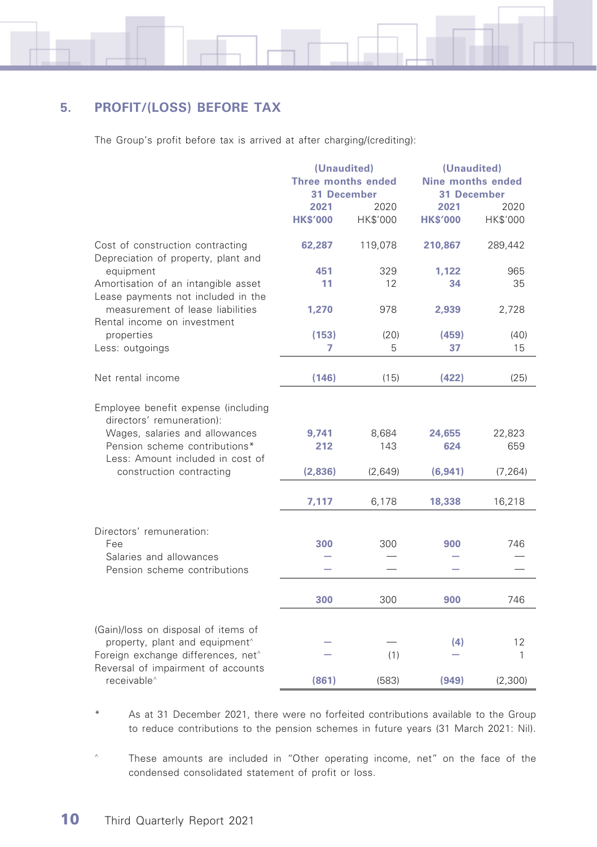

# **5. PROFIT/(LOSS) BEFORE TAX**

The Group's profit before tax is arrived at after charging/(crediting):

|                                                                                                                                                                                                     | (Unaudited)<br>Three months ended |                         | (Unaudited)<br>Nine months ended |                           |  |
|-----------------------------------------------------------------------------------------------------------------------------------------------------------------------------------------------------|-----------------------------------|-------------------------|----------------------------------|---------------------------|--|
|                                                                                                                                                                                                     | 31 December                       |                         | 31 December                      |                           |  |
|                                                                                                                                                                                                     | 2021                              | 2020                    | 2021                             | 2020                      |  |
|                                                                                                                                                                                                     | <b>HK\$'000</b>                   | <b>HK\$'000</b>         | <b>HK\$'000</b>                  | <b>HK\$'000</b>           |  |
| Cost of construction contracting<br>Depreciation of property, plant and                                                                                                                             | 62,287                            | 119,078                 | 210,867                          | 289,442                   |  |
| equipment                                                                                                                                                                                           | 451                               | 329                     | 1.122                            | 965                       |  |
| Amortisation of an intangible asset<br>Lease payments not included in the                                                                                                                           | 11                                | 12                      | 34                               | 35                        |  |
| measurement of lease liabilities<br>Rental income on investment                                                                                                                                     | 1,270                             | 978                     | 2,939                            | 2,728                     |  |
| properties                                                                                                                                                                                          | (153)                             | (20)                    | (459)                            | (40)                      |  |
| Less: outgoings                                                                                                                                                                                     | 7                                 | 5                       | 37                               | 15                        |  |
| Net rental income                                                                                                                                                                                   | (146)                             | (15)                    | (422)                            | (25)                      |  |
| Employee benefit expense (including<br>directors' remuneration):<br>Wages, salaries and allowances<br>Pension scheme contributions*<br>Less: Amount included in cost of<br>construction contracting | 9,741<br>212<br>(2,836)           | 8,684<br>143<br>(2,649) | 24,655<br>624<br>(6, 941)        | 22,823<br>659<br>(7, 264) |  |
|                                                                                                                                                                                                     |                                   |                         |                                  |                           |  |
|                                                                                                                                                                                                     | 7,117                             | 6,178                   | 18,338                           | 16,218                    |  |
| Directors' remuneration:<br>Fee<br>Salaries and allowances                                                                                                                                          | 300                               | 300                     | 900                              | 746                       |  |
| Pension scheme contributions                                                                                                                                                                        |                                   |                         |                                  |                           |  |
|                                                                                                                                                                                                     | 300                               | 300                     | 900                              | 746                       |  |
| (Gain)/loss on disposal of items of                                                                                                                                                                 |                                   |                         |                                  |                           |  |
| property, plant and equipment^<br>Foreign exchange differences, net^                                                                                                                                |                                   | (1)                     | (4)                              | 12<br>1                   |  |
| Reversal of impairment of accounts<br>receivable <sup>^</sup>                                                                                                                                       | (861)                             | (583)                   | (949)                            | (2,300)                   |  |

- \* As at 31 December 2021, there were no forfeited contributions available to the Group to reduce contributions to the pension schemes in future years (31 March 2021: Nil).
- These amounts are included in "Other operating income, net" on the face of the condensed consolidated statement of profit or loss.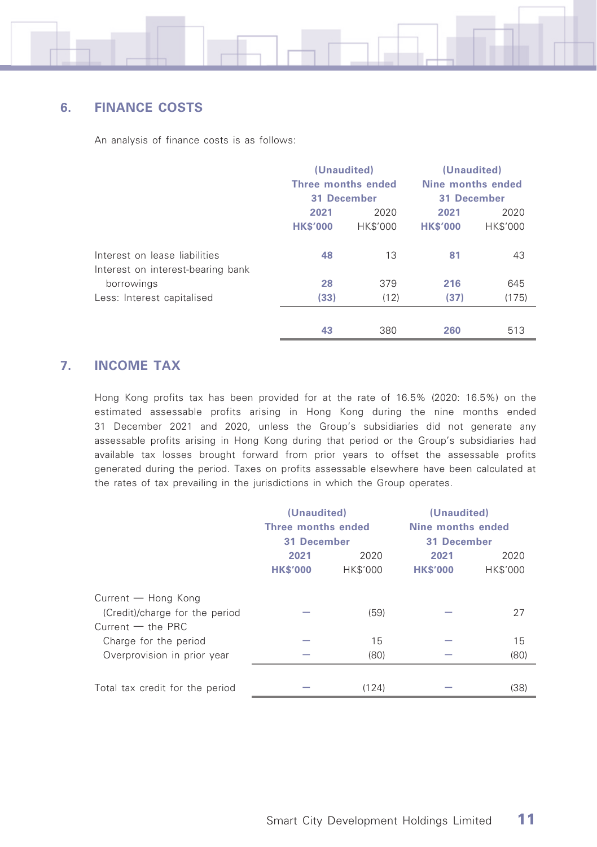

# **6. FINANCE COSTS**

An analysis of finance costs is as follows:

|                                                                    | (Unaudited)        |                 | (Unaudited)<br>Nine months ended |                 |
|--------------------------------------------------------------------|--------------------|-----------------|----------------------------------|-----------------|
|                                                                    | Three months ended |                 |                                  |                 |
|                                                                    | 31 December        |                 | 31 December                      |                 |
|                                                                    | 2021               | 2020            | 2021                             | 2020            |
|                                                                    | <b>HK\$'000</b>    | <b>HK\$'000</b> | <b>HK\$'000</b>                  | <b>HK\$'000</b> |
| Interest on lease liabilities<br>Interest on interest-bearing bank | 48                 | 13              | 81                               | 43              |
| borrowings                                                         | 28                 | 379             | 216                              | 645             |
| Less: Interest capitalised                                         | (33)               | (12)            | (37)                             | (175)           |
|                                                                    |                    |                 |                                  |                 |
|                                                                    | 43                 | 380             | 260                              | 513             |

# **7. INCOME TAX**

Hong Kong profits tax has been provided for at the rate of 16.5% (2020: 16.5%) on the estimated assessable profits arising in Hong Kong during the nine months ended 31 December 2021 and 2020, unless the Group's subsidiaries did not generate any assessable profits arising in Hong Kong during that period or the Group's subsidiaries had available tax losses brought forward from prior years to offset the assessable profits generated during the period. Taxes on profits assessable elsewhere have been calculated at the rates of tax prevailing in the jurisdictions in which the Group operates.

|                                                       | (Unaudited)        |                 | (Unaudited)       |                 |  |
|-------------------------------------------------------|--------------------|-----------------|-------------------|-----------------|--|
|                                                       | Three months ended |                 | Nine months ended |                 |  |
|                                                       | 31 December        |                 | 31 December       |                 |  |
|                                                       | 2021               | 2020            | 2021              | 2020            |  |
|                                                       | <b>HK\$'000</b>    | <b>HK\$'000</b> | <b>HK\$'000</b>   | <b>HK\$'000</b> |  |
| Current - Hong Kong                                   |                    |                 |                   |                 |  |
| (Credit)/charge for the period<br>$Current - the PRC$ |                    | (59)            |                   | 27              |  |
| Charge for the period                                 |                    | 15              |                   | 15              |  |
| Overprovision in prior year                           |                    | (80)            |                   | (80)            |  |
|                                                       |                    |                 |                   |                 |  |
| Total tax credit for the period                       |                    | (124)           |                   | (38)            |  |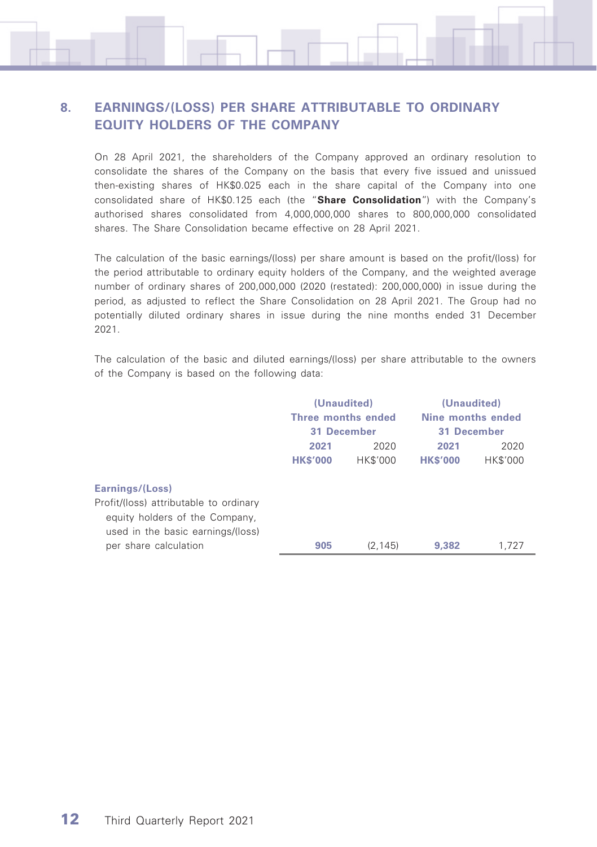# **8. EARNINGS/(LOSS) PER SHARE ATTRIBUTABLE TO ORDINARY EQUITY HOLDERS OF THE COMPANY**

On 28 April 2021, the shareholders of the Company approved an ordinary resolution to consolidate the shares of the Company on the basis that every five issued and unissued then-existing shares of HK\$0.025 each in the share capital of the Company into one consolidated share of HK\$0.125 each (the "**Share Consolidation**") with the Company's authorised shares consolidated from 4,000,000,000 shares to 800,000,000 consolidated shares. The Share Consolidation became effective on 28 April 2021.

The calculation of the basic earnings/(loss) per share amount is based on the profit/(loss) for the period attributable to ordinary equity holders of the Company, and the weighted average number of ordinary shares of 200,000,000 (2020 (restated): 200,000,000) in issue during the period, as adjusted to reflect the Share Consolidation on 28 April 2021. The Group had no potentially diluted ordinary shares in issue during the nine months ended 31 December 2021.

The calculation of the basic and diluted earnings/(loss) per share attributable to the owners of the Company is based on the following data:

|                                                                          | (Unaudited)        |          | (Unaudited)<br>Nine months ended |                 |
|--------------------------------------------------------------------------|--------------------|----------|----------------------------------|-----------------|
|                                                                          | Three months ended |          |                                  |                 |
|                                                                          | 31 December        |          | 31 December                      |                 |
|                                                                          | 2021<br>2020       |          | 2021                             | 2020            |
|                                                                          | <b>HK\$'000</b>    | HK\$'000 | <b>HK\$'000</b>                  | <b>HK\$'000</b> |
| Earnings/(Loss)                                                          |                    |          |                                  |                 |
| Profit/(loss) attributable to ordinary<br>equity holders of the Company, |                    |          |                                  |                 |
| used in the basic earnings/(loss)                                        |                    |          |                                  |                 |
| per share calculation                                                    | 905                | (2.145)  | 9,382                            | 1.727           |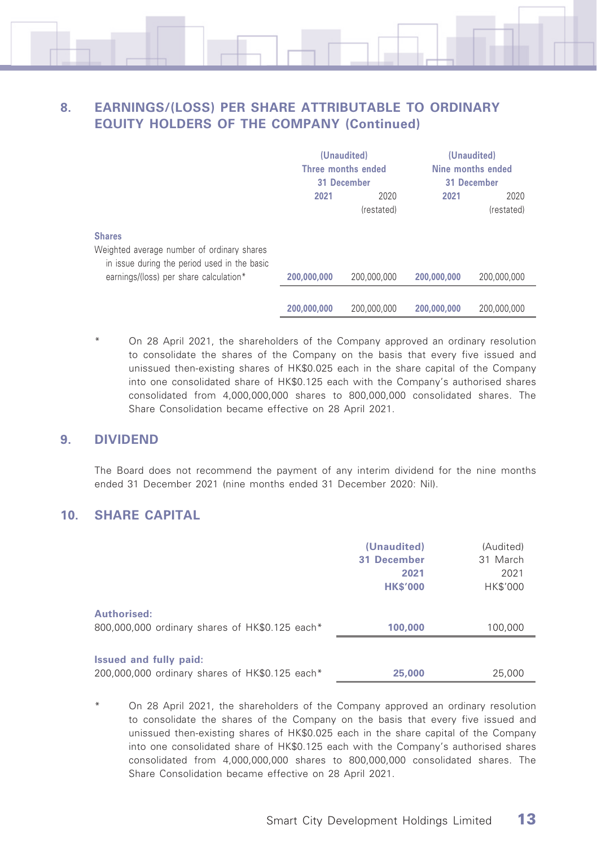

# **8. EARNINGS/(LOSS) PER SHARE ATTRIBUTABLE TO ORDINARY EQUITY HOLDERS OF THE COMPANY (Continued)**

|                                                                                                                                                       | (Unaudited)<br>Three months ended<br>31 December |                    | (Unaudited)<br>Nine months ended<br>31 December |                    |
|-------------------------------------------------------------------------------------------------------------------------------------------------------|--------------------------------------------------|--------------------|-------------------------------------------------|--------------------|
|                                                                                                                                                       | 2021                                             | 2020<br>(restated) | 2021                                            | 2020<br>(restated) |
| <b>Shares</b><br>Weighted average number of ordinary shares<br>in issue during the period used in the basic<br>earnings/(loss) per share calculation* | 200,000,000                                      | 200.000.000        | 200,000,000                                     | 200.000.000        |
|                                                                                                                                                       | 200,000,000                                      | 200.000.000        | 200,000,000                                     | 200.000.000        |

On 28 April 2021, the shareholders of the Company approved an ordinary resolution to consolidate the shares of the Company on the basis that every five issued and unissued then-existing shares of HK\$0.025 each in the share capital of the Company into one consolidated share of HK\$0.125 each with the Company's authorised shares consolidated from 4,000,000,000 shares to 800,000,000 consolidated shares. The Share Consolidation became effective on 28 April 2021.

### **9. DIVIDEND**

The Board does not recommend the payment of any interim dividend for the nine months ended 31 December 2021 (nine months ended 31 December 2020: Nil).

### **10. SHARE CAPITAL**

|                                                | (Unaudited)     | (Audited)       |
|------------------------------------------------|-----------------|-----------------|
|                                                | 31 December     | 31 March        |
|                                                | 2021            | 2021            |
|                                                | <b>HK\$'000</b> | <b>HK\$'000</b> |
| Authorised:                                    |                 |                 |
| 800,000,000 ordinary shares of HK\$0.125 each* | 100,000         | 100,000         |
|                                                |                 |                 |
| Issued and fully paid:                         |                 |                 |
| 200,000,000 ordinary shares of HK\$0.125 each* | 25,000          | 25,000          |

On 28 April 2021, the shareholders of the Company approved an ordinary resolution to consolidate the shares of the Company on the basis that every five issued and unissued then-existing shares of HK\$0.025 each in the share capital of the Company into one consolidated share of HK\$0.125 each with the Company's authorised shares consolidated from 4,000,000,000 shares to 800,000,000 consolidated shares. The Share Consolidation became effective on 28 April 2021.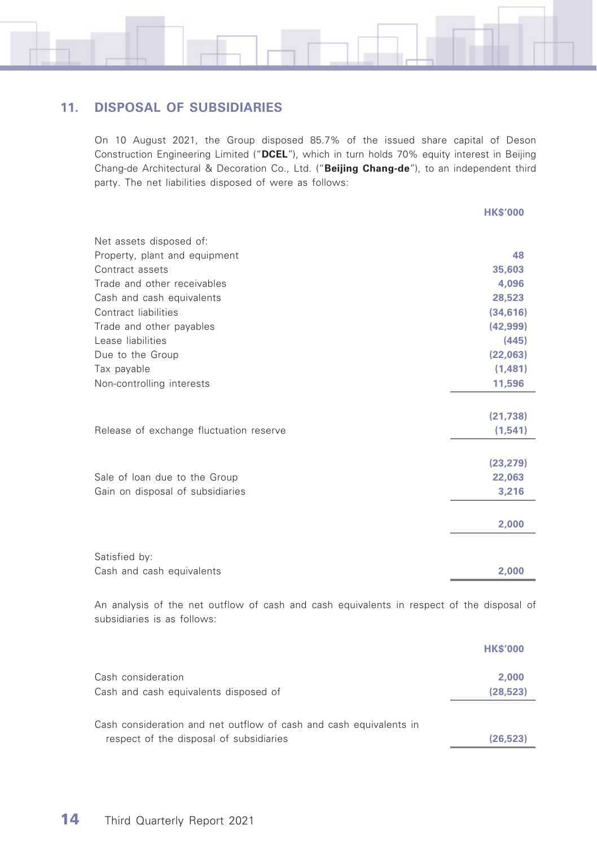

On 10 August 2021, the Group disposed 85.7% of the issued share capital of Deson Construction Engineering Limited ("**DCEL**"), which in turn holds 70% equity interest in Beijing Chang-de Architectural & Decoration Co., Ltd. ("**Beijing Chang-de**"), to an independent third party. The net liabilities disposed of were as follows:

|                                         | <b>HK\$'000</b> |
|-----------------------------------------|-----------------|
| Net assets disposed of:                 |                 |
| Property, plant and equipment           | 48              |
| Contract assets                         | 35,603          |
| Trade and other receivables             | 4.096           |
| Cash and cash equivalents               | 28,523          |
| Contract liabilities                    | (34, 616)       |
| Trade and other payables                | (42, 999)       |
| Lease liabilities                       | (445)           |
| Due to the Group                        | (22,063)        |
| Tax payable                             | (1,481)         |
| Non-controlling interests               | 11,596          |
|                                         |                 |
|                                         | (21, 738)       |
| Release of exchange fluctuation reserve | (1,541)         |
|                                         |                 |
|                                         | (23, 279)       |
| Sale of loan due to the Group           | 22,063          |
| Gain on disposal of subsidiaries        | 3,216           |
|                                         | 2,000           |
|                                         |                 |
| Satisfied by:                           |                 |
| Cash and cash equivalents               | 2,000           |

An analysis of the net outflow of cash and cash equivalents in respect of the disposal of subsidiaries is as follows:

|                                                                    | <b>HK\$'000</b> |
|--------------------------------------------------------------------|-----------------|
| Cash consideration                                                 | 2,000           |
| Cash and cash equivalents disposed of                              | (28.523)        |
|                                                                    |                 |
| Cash consideration and net outflow of cash and cash equivalents in |                 |
| respect of the disposal of subsidiaries                            | (26.523)        |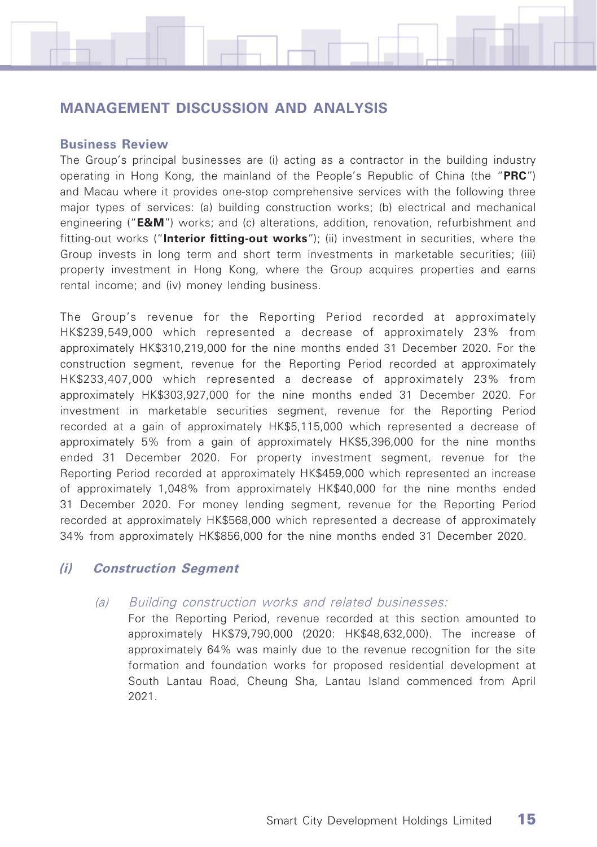# **MANAGEMENT DISCUSSION AND ANALYSIS**

#### **Business Review**

The Group's principal businesses are (i) acting as a contractor in the building industry operating in Hong Kong, the mainland of the People's Republic of China (the "**PRC**") and Macau where it provides one-stop comprehensive services with the following three major types of services: (a) building construction works; (b) electrical and mechanical engineering ("E&M") works; and (c) alterations, addition, renovation, refurbishment and fitting-out works ("**Interior fitting-out works**"); (ii) investment in securities, where the Group invests in long term and short term investments in marketable securities; (iii) property investment in Hong Kong, where the Group acquires properties and earns rental income; and (iv) money lending business.

The Group's revenue for the Reporting Period recorded at approximately HK\$239,549,000 which represented a decrease of approximately 23% from approximately HK\$310,219,000 for the nine months ended 31 December 2020. For the construction segment, revenue for the Reporting Period recorded at approximately HK\$233,407,000 which represented a decrease of approximately 23% from approximately HK\$303,927,000 for the nine months ended 31 December 2020. For investment in marketable securities segment, revenue for the Reporting Period recorded at a gain of approximately HK\$5,115,000 which represented a decrease of approximately 5% from a gain of approximately HK\$5,396,000 for the nine months ended 31 December 2020. For property investment segment, revenue for the Reporting Period recorded at approximately HK\$459,000 which represented an increase of approximately 1,048% from approximately HK\$40,000 for the nine months ended 31 December 2020. For money lending segment, revenue for the Reporting Period recorded at approximately HK\$568,000 which represented a decrease of approximately 34% from approximately HK\$856,000 for the nine months ended 31 December 2020.

#### **(i) Construction Segment**

#### (a) Building construction works and related businesses:

For the Reporting Period, revenue recorded at this section amounted to approximately HK\$79,790,000 (2020: HK\$48,632,000). The increase of approximately 64% was mainly due to the revenue recognition for the site formation and foundation works for proposed residential development at South Lantau Road, Cheung Sha, Lantau Island commenced from April 2021.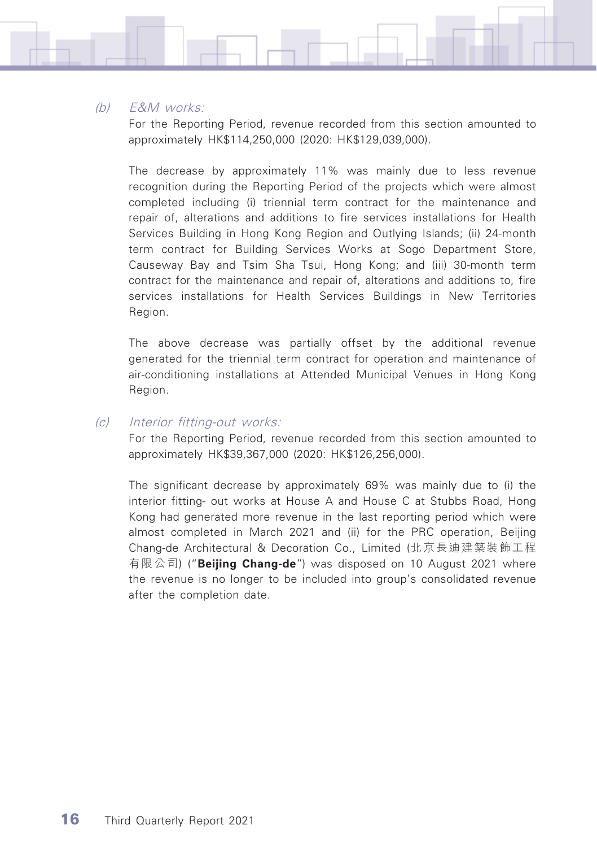### (b) E&M works:

For the Reporting Period, revenue recorded from this section amounted to approximately HK\$114,250,000 (2020: HK\$129,039,000).

The decrease by approximately 11% was mainly due to less revenue recognition during the Reporting Period of the projects which were almost completed including (i) triennial term contract for the maintenance and repair of, alterations and additions to fire services installations for Health Services Building in Hong Kong Region and Outlying Islands; (ii) 24-month term contract for Building Services Works at Sogo Department Store, Causeway Bay and Tsim Sha Tsui, Hong Kong; and (iii) 30-month term contract for the maintenance and repair of, alterations and additions to, fire services installations for Health Services Buildings in New Territories Region.

The above decrease was partially offset by the additional revenue generated for the triennial term contract for operation and maintenance of air-conditioning installations at Attended Municipal Venues in Hong Kong Region.

#### (c) Interior fitting-out works:

For the Reporting Period, revenue recorded from this section amounted to approximately HK\$39,367,000 (2020: HK\$126,256,000).

The significant decrease by approximately 69% was mainly due to (i) the interior fitting- out works at House A and House C at Stubbs Road, Hong Kong had generated more revenue in the last reporting period which were almost completed in March 2021 and (ii) for the PRC operation, Beijing Chang-de Architectural & Decoration Co., Limited (北京長迪建築裝飾工程 有限公司) ("**Beijing Chang-de**") was disposed on 10 August 2021 where the revenue is no longer to be included into group's consolidated revenue after the completion date.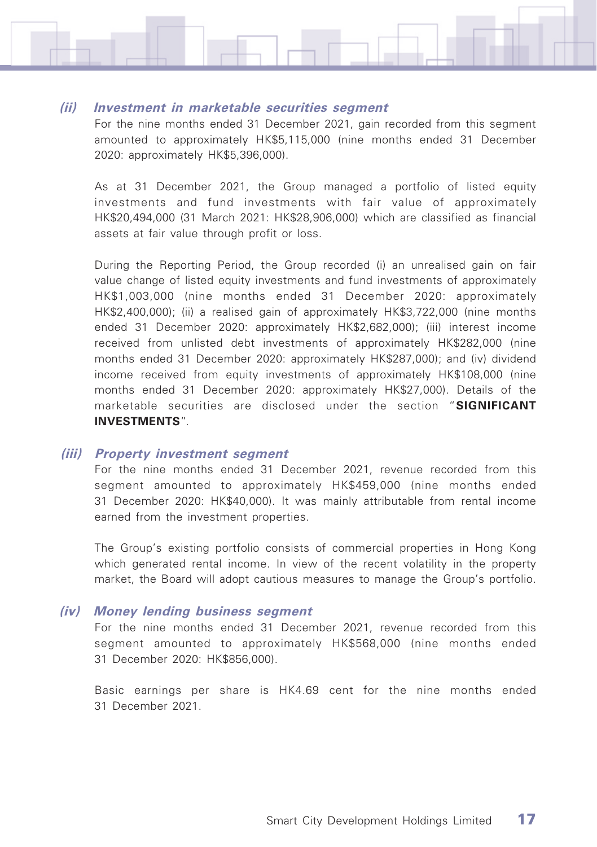#### **(ii) Investment in marketable securities segment**

For the nine months ended 31 December 2021, gain recorded from this segment amounted to approximately HK\$5,115,000 (nine months ended 31 December 2020: approximately HK\$5,396,000).

As at 31 December 2021, the Group managed a portfolio of listed equity investments and fund investments with fair value of approximately HK\$20,494,000 (31 March 2021: HK\$28,906,000) which are classified as financial assets at fair value through profit or loss.

During the Reporting Period, the Group recorded (i) an unrealised gain on fair value change of listed equity investments and fund investments of approximately HK\$1,003,000 (nine months ended 31 December 2020: approximately HK\$2,400,000); (ii) a realised gain of approximately HK\$3,722,000 (nine months ended 31 December 2020: approximately HK\$2,682,000); (iii) interest income received from unlisted debt investments of approximately HK\$282,000 (nine months ended 31 December 2020: approximately HK\$287,000); and (iv) dividend income received from equity investments of approximately HK\$108,000 (nine months ended 31 December 2020: approximately HK\$27,000). Details of the marketable securities are disclosed under the section "**SIGNIFICANT INVESTMENTS**".

#### **(iii) Property investment segment**

For the nine months ended 31 December 2021, revenue recorded from this segment amounted to approximately HK\$459,000 (nine months ended 31 December 2020: HK\$40,000). It was mainly attributable from rental income earned from the investment properties.

The Group's existing portfolio consists of commercial properties in Hong Kong which generated rental income. In view of the recent volatility in the property market, the Board will adopt cautious measures to manage the Group's portfolio.

#### **(iv) Money lending business segment**

For the nine months ended 31 December 2021, revenue recorded from this segment amounted to approximately HK\$568,000 (nine months ended 31 December 2020: HK\$856,000).

Basic earnings per share is HK4.69 cent for the nine months ended 31 December 2021.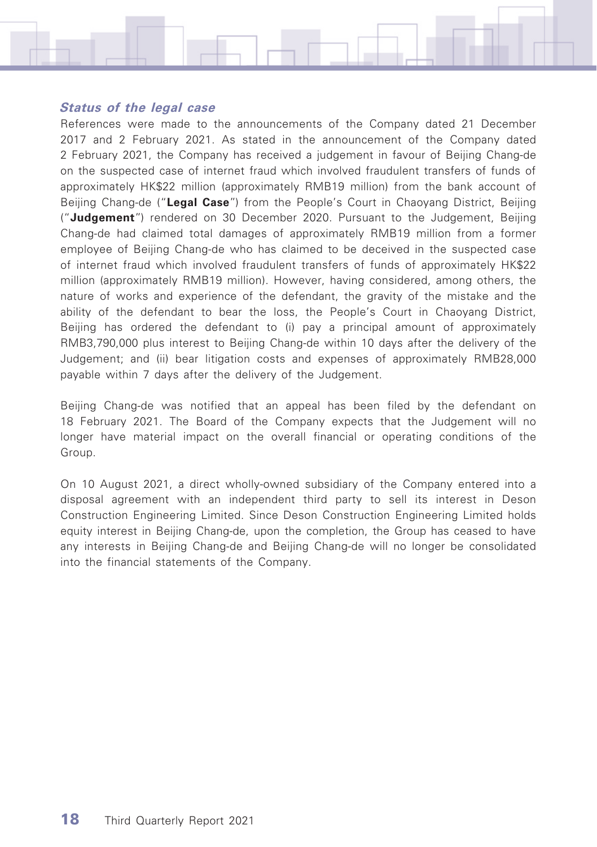#### **Status of the legal case**

References were made to the announcements of the Company dated 21 December 2017 and 2 February 2021. As stated in the announcement of the Company dated 2 February 2021, the Company has received a judgement in favour of Beijing Chang-de on the suspected case of internet fraud which involved fraudulent transfers of funds of approximately HK\$22 million (approximately RMB19 million) from the bank account of Beijing Chang-de ("**Legal Case**") from the People's Court in Chaoyang District, Beijing ("**Judgement**") rendered on 30 December 2020. Pursuant to the Judgement, Beijing Chang-de had claimed total damages of approximately RMB19 million from a former employee of Beijing Chang-de who has claimed to be deceived in the suspected case of internet fraud which involved fraudulent transfers of funds of approximately HK\$22 million (approximately RMB19 million). However, having considered, among others, the nature of works and experience of the defendant, the gravity of the mistake and the ability of the defendant to bear the loss, the People's Court in Chaoyang District, Beijing has ordered the defendant to (i) pay a principal amount of approximately RMB3,790,000 plus interest to Beijing Chang-de within 10 days after the delivery of the Judgement; and (ii) bear litigation costs and expenses of approximately RMB28,000 payable within 7 days after the delivery of the Judgement.

Beijing Chang-de was notified that an appeal has been filed by the defendant on 18 February 2021. The Board of the Company expects that the Judgement will no longer have material impact on the overall financial or operating conditions of the Group.

On 10 August 2021, a direct wholly-owned subsidiary of the Company entered into a disposal agreement with an independent third party to sell its interest in Deson Construction Engineering Limited. Since Deson Construction Engineering Limited holds equity interest in Beijing Chang-de, upon the completion, the Group has ceased to have any interests in Beijing Chang-de and Beijing Chang-de will no longer be consolidated into the financial statements of the Company.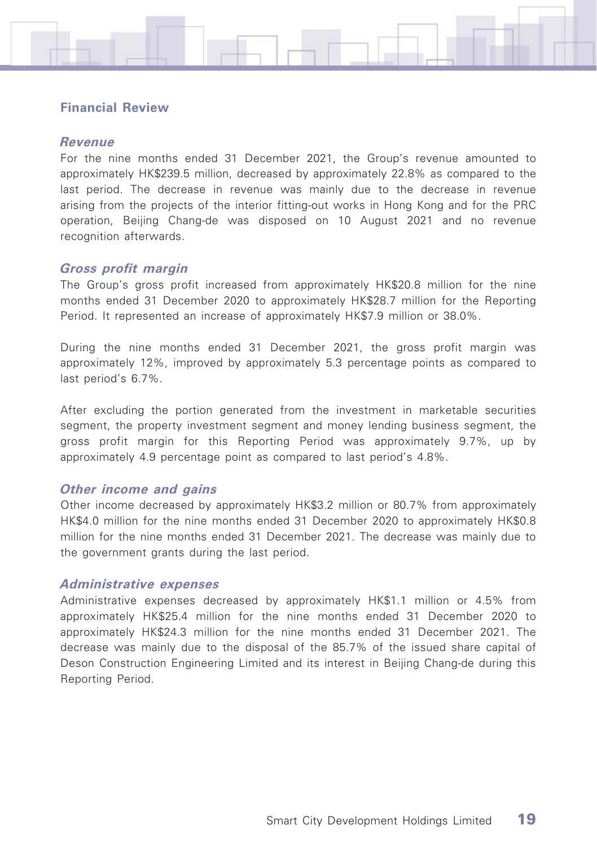### **Financial Review**

#### **Revenue**

For the nine months ended 31 December 2021, the Group's revenue amounted to approximately HK\$239.5 million, decreased by approximately 22.8% as compared to the last period. The decrease in revenue was mainly due to the decrease in revenue arising from the projects of the interior fitting-out works in Hong Kong and for the PRC operation, Beijing Chang-de was disposed on 10 August 2021 and no revenue recognition afterwards.

#### **Gross profit margin**

The Group's gross profit increased from approximately HK\$20.8 million for the nine months ended 31 December 2020 to approximately HK\$28.7 million for the Reporting Period. It represented an increase of approximately HK\$7.9 million or 38.0%.

During the nine months ended 31 December 2021, the gross profit margin was approximately 12%, improved by approximately 5.3 percentage points as compared to last period's 6.7%.

After excluding the portion generated from the investment in marketable securities segment, the property investment segment and money lending business segment, the gross profit margin for this Reporting Period was approximately 9.7%, up by approximately 4.9 percentage point as compared to last period's 4.8%.

#### **Other income and gains**

Other income decreased by approximately HK\$3.2 million or 80.7% from approximately HK\$4.0 million for the nine months ended 31 December 2020 to approximately HK\$0.8 million for the nine months ended 31 December 2021. The decrease was mainly due to the government grants during the last period.

#### **Administrative expenses**

Administrative expenses decreased by approximately HK\$1.1 million or 4.5% from approximately HK\$25.4 million for the nine months ended 31 December 2020 to approximately HK\$24.3 million for the nine months ended 31 December 2021. The decrease was mainly due to the disposal of the 85.7% of the issued share capital of Deson Construction Engineering Limited and its interest in Beijing Chang-de during this Reporting Period.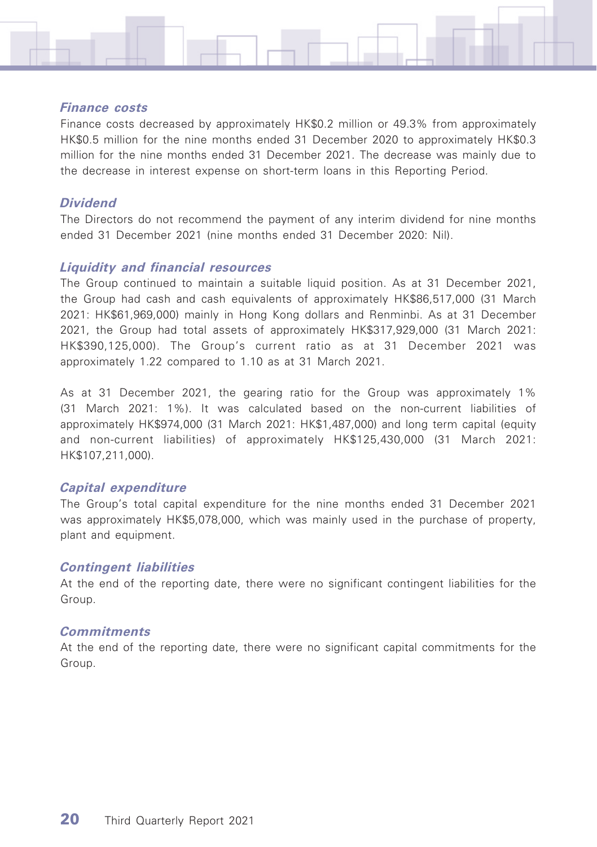

#### **Finance costs**

Finance costs decreased by approximately HK\$0.2 million or 49.3% from approximately HK\$0.5 million for the nine months ended 31 December 2020 to approximately HK\$0.3 million for the nine months ended 31 December 2021. The decrease was mainly due to the decrease in interest expense on short-term loans in this Reporting Period.

### **Dividend**

The Directors do not recommend the payment of any interim dividend for nine months ended 31 December 2021 (nine months ended 31 December 2020: Nil).

### **Liquidity and financial resources**

The Group continued to maintain a suitable liquid position. As at 31 December 2021, the Group had cash and cash equivalents of approximately HK\$86,517,000 (31 March 2021: HK\$61,969,000) mainly in Hong Kong dollars and Renminbi. As at 31 December 2021, the Group had total assets of approximately HK\$317,929,000 (31 March 2021: HK\$390,125,000). The Group's current ratio as at 31 December 2021 was approximately 1.22 compared to 1.10 as at 31 March 2021.

As at 31 December 2021, the gearing ratio for the Group was approximately 1% (31 March 2021: 1%). It was calculated based on the non-current liabilities of approximately HK\$974,000 (31 March 2021: HK\$1,487,000) and long term capital (equity and non-current liabilities) of approximately HK\$125,430,000 (31 March 2021: HK\$107,211,000).

#### **Capital expenditure**

The Group's total capital expenditure for the nine months ended 31 December 2021 was approximately HK\$5,078,000, which was mainly used in the purchase of property, plant and equipment.

#### **Contingent liabilities**

At the end of the reporting date, there were no significant contingent liabilities for the Group.

#### **Commitments**

At the end of the reporting date, there were no significant capital commitments for the Group.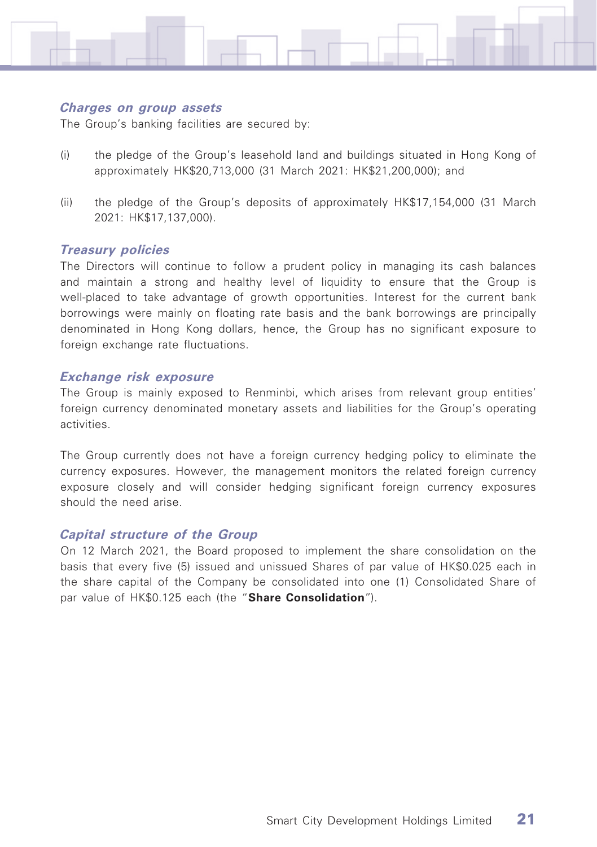

#### **Charges on group assets**

The Group's banking facilities are secured by:

- (i) the pledge of the Group's leasehold land and buildings situated in Hong Kong of approximately HK\$20,713,000 (31 March 2021: HK\$21,200,000); and
- (ii) the pledge of the Group's deposits of approximately HK\$17,154,000 (31 March 2021: HK\$17,137,000).

#### **Treasury policies**

The Directors will continue to follow a prudent policy in managing its cash balances and maintain a strong and healthy level of liquidity to ensure that the Group is well-placed to take advantage of growth opportunities. Interest for the current bank borrowings were mainly on floating rate basis and the bank borrowings are principally denominated in Hong Kong dollars, hence, the Group has no significant exposure to foreign exchange rate fluctuations.

#### **Exchange risk exposure**

The Group is mainly exposed to Renminbi, which arises from relevant group entities' foreign currency denominated monetary assets and liabilities for the Group's operating activities.

The Group currently does not have a foreign currency hedging policy to eliminate the currency exposures. However, the management monitors the related foreign currency exposure closely and will consider hedging significant foreign currency exposures should the need arise.

#### **Capital structure of the Group**

On 12 March 2021, the Board proposed to implement the share consolidation on the basis that every five (5) issued and unissued Shares of par value of HK\$0.025 each in the share capital of the Company be consolidated into one (1) Consolidated Share of par value of HK\$0.125 each (the "**Share Consolidation**").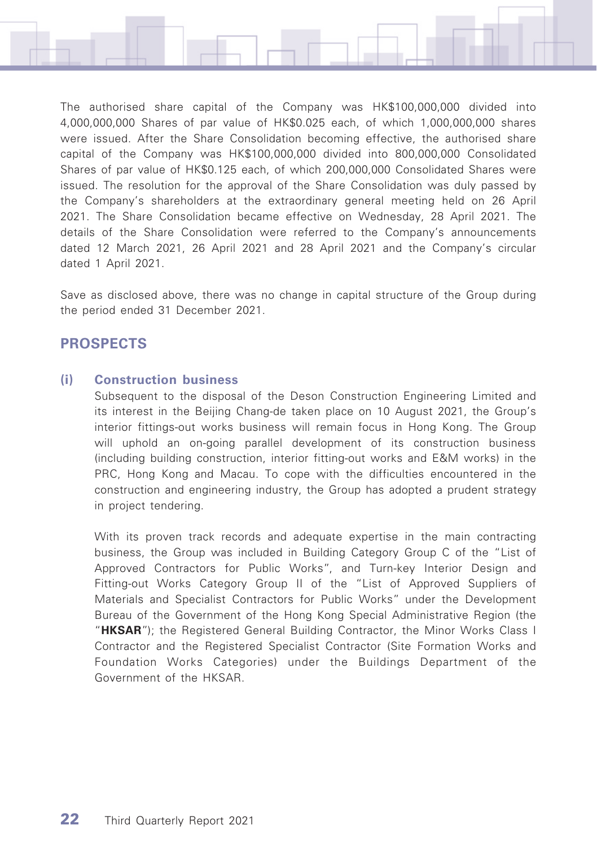The authorised share capital of the Company was HK\$100,000,000 divided into 4,000,000,000 Shares of par value of HK\$0.025 each, of which 1,000,000,000 shares were issued. After the Share Consolidation becoming effective, the authorised share capital of the Company was HK\$100,000,000 divided into 800,000,000 Consolidated Shares of par value of HK\$0.125 each, of which 200,000,000 Consolidated Shares were issued. The resolution for the approval of the Share Consolidation was duly passed by the Company's shareholders at the extraordinary general meeting held on 26 April 2021. The Share Consolidation became effective on Wednesday, 28 April 2021. The details of the Share Consolidation were referred to the Company's announcements dated 12 March 2021, 26 April 2021 and 28 April 2021 and the Company's circular dated 1 April 2021.

Save as disclosed above, there was no change in capital structure of the Group during the period ended 31 December 2021.

# **PROSPECTS**

### **(i) Construction business**

Subsequent to the disposal of the Deson Construction Engineering Limited and its interest in the Beijing Chang-de taken place on 10 August 2021, the Group's interior fittings-out works business will remain focus in Hong Kong. The Group will uphold an on-going parallel development of its construction business (including building construction, interior fitting-out works and E&M works) in the PRC, Hong Kong and Macau. To cope with the difficulties encountered in the construction and engineering industry, the Group has adopted a prudent strategy in project tendering.

With its proven track records and adequate expertise in the main contracting business, the Group was included in Building Category Group C of the "List of Approved Contractors for Public Works", and Turn-key Interior Design and Fitting-out Works Category Group II of the "List of Approved Suppliers of Materials and Specialist Contractors for Public Works" under the Development Bureau of the Government of the Hong Kong Special Administrative Region (the "**HKSAR**"); the Registered General Building Contractor, the Minor Works Class I Contractor and the Registered Specialist Contractor (Site Formation Works and Foundation Works Categories) under the Buildings Department of the Government of the HKSAR.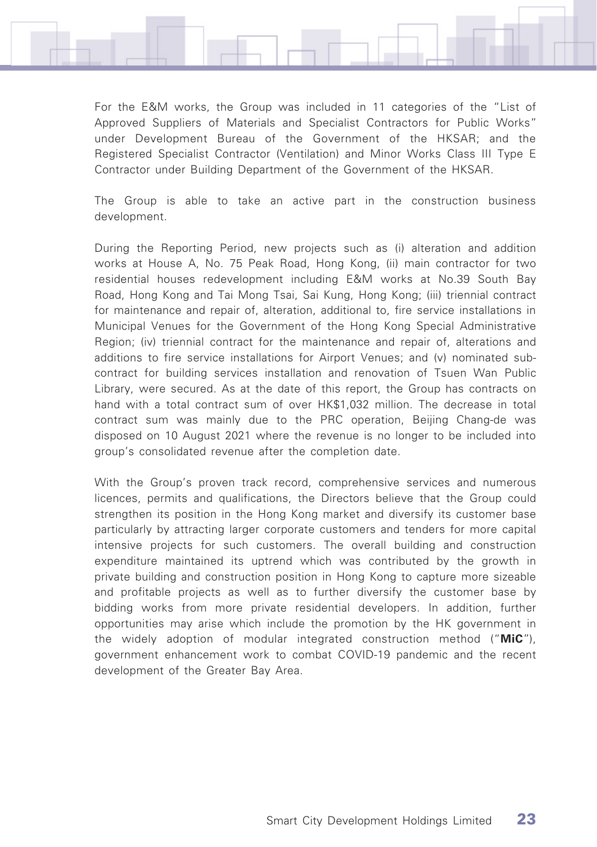

For the E&M works, the Group was included in 11 categories of the "List of Approved Suppliers of Materials and Specialist Contractors for Public Works" under Development Bureau of the Government of the HKSAR; and the Registered Specialist Contractor (Ventilation) and Minor Works Class III Type E Contractor under Building Department of the Government of the HKSAR.

The Group is able to take an active part in the construction business development.

During the Reporting Period, new projects such as (i) alteration and addition works at House A, No. 75 Peak Road, Hong Kong, (ii) main contractor for two residential houses redevelopment including E&M works at No.39 South Bay Road, Hong Kong and Tai Mong Tsai, Sai Kung, Hong Kong; (iii) triennial contract for maintenance and repair of, alteration, additional to, fire service installations in Municipal Venues for the Government of the Hong Kong Special Administrative Region: (iv) triennial contract for the maintenance and repair of, alterations and additions to fire service installations for Airport Venues; and (v) nominated subcontract for building services installation and renovation of Tsuen Wan Public Library, were secured. As at the date of this report, the Group has contracts on hand with a total contract sum of over HK\$1,032 million. The decrease in total contract sum was mainly due to the PRC operation, Beijing Chang-de was disposed on 10 August 2021 where the revenue is no longer to be included into group's consolidated revenue after the completion date.

With the Group's proven track record, comprehensive services and numerous licences, permits and qualifications, the Directors believe that the Group could strengthen its position in the Hong Kong market and diversify its customer base particularly by attracting larger corporate customers and tenders for more capital intensive projects for such customers. The overall building and construction expenditure maintained its uptrend which was contributed by the growth in private building and construction position in Hong Kong to capture more sizeable and profitable projects as well as to further diversify the customer base by bidding works from more private residential developers. In addition, further opportunities may arise which include the promotion by the HK government in the widely adoption of modular integrated construction method ("**MiC**"), government enhancement work to combat COVID-19 pandemic and the recent development of the Greater Bay Area.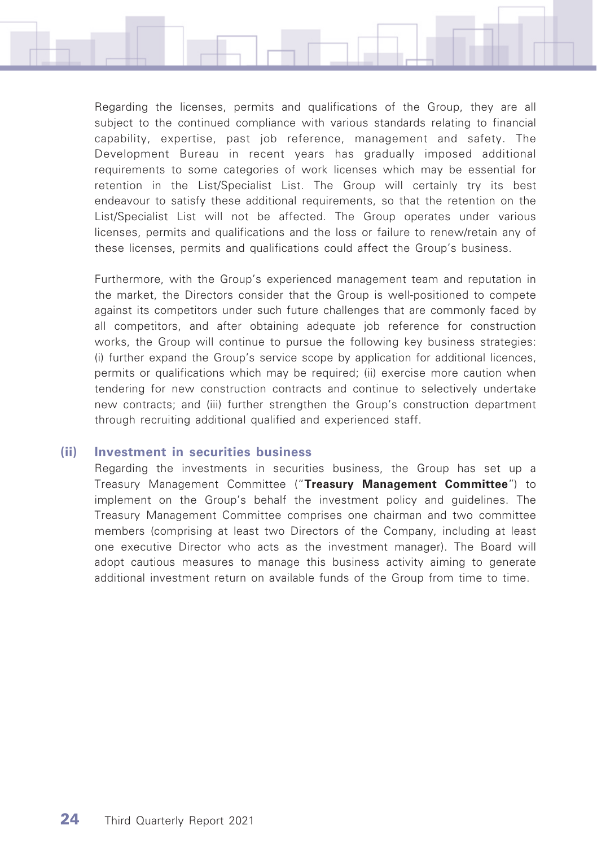Regarding the licenses, permits and qualifications of the Group, they are all subject to the continued compliance with various standards relating to financial capability, expertise, past job reference, management and safety. The Development Bureau in recent years has gradually imposed additional requirements to some categories of work licenses which may be essential for retention in the List/Specialist List. The Group will certainly try its best endeavour to satisfy these additional requirements, so that the retention on the List/Specialist List will not be affected. The Group operates under various licenses, permits and qualifications and the loss or failure to renew/retain any of these licenses, permits and qualifications could affect the Group's business.

Furthermore, with the Group's experienced management team and reputation in the market, the Directors consider that the Group is well-positioned to compete against its competitors under such future challenges that are commonly faced by all competitors, and after obtaining adequate job reference for construction works, the Group will continue to pursue the following key business strategies: (i) further expand the Group's service scope by application for additional licences, permits or qualifications which may be required; (ii) exercise more caution when tendering for new construction contracts and continue to selectively undertake new contracts; and (iii) further strengthen the Group's construction department through recruiting additional qualified and experienced staff.

#### **(ii) Investment in securities business**

Regarding the investments in securities business, the Group has set up a Treasury Management Committee ("**Treasury Management Committee**") to implement on the Group's behalf the investment policy and guidelines. The Treasury Management Committee comprises one chairman and two committee members (comprising at least two Directors of the Company, including at least one executive Director who acts as the investment manager). The Board will adopt cautious measures to manage this business activity aiming to generate additional investment return on available funds of the Group from time to time.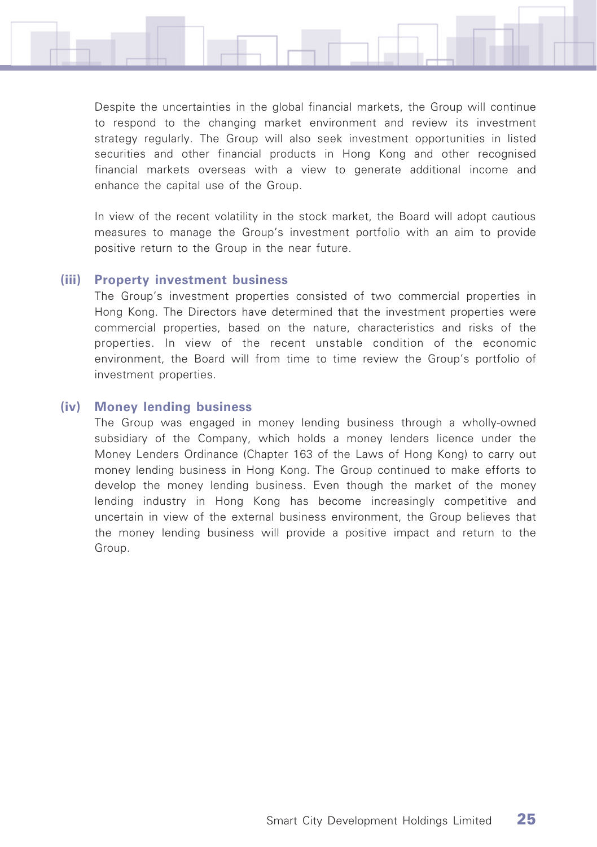Despite the uncertainties in the global financial markets, the Group will continue to respond to the changing market environment and review its investment strategy regularly. The Group will also seek investment opportunities in listed securities and other financial products in Hong Kong and other recognised financial markets overseas with a view to generate additional income and enhance the capital use of the Group.

In view of the recent volatility in the stock market, the Board will adopt cautious measures to manage the Group's investment portfolio with an aim to provide positive return to the Group in the near future.

#### **(iii) Property investment business**

The Group's investment properties consisted of two commercial properties in Hong Kong. The Directors have determined that the investment properties were commercial properties, based on the nature, characteristics and risks of the properties. In view of the recent unstable condition of the economic environment, the Board will from time to time review the Group's portfolio of investment properties.

### **(iv) Money lending business**

The Group was engaged in money lending business through a wholly-owned subsidiary of the Company, which holds a money lenders licence under the Money Lenders Ordinance (Chapter 163 of the Laws of Hong Kong) to carry out money lending business in Hong Kong. The Group continued to make efforts to develop the money lending business. Even though the market of the money lending industry in Hong Kong has become increasingly competitive and uncertain in view of the external business environment, the Group believes that the money lending business will provide a positive impact and return to the Group.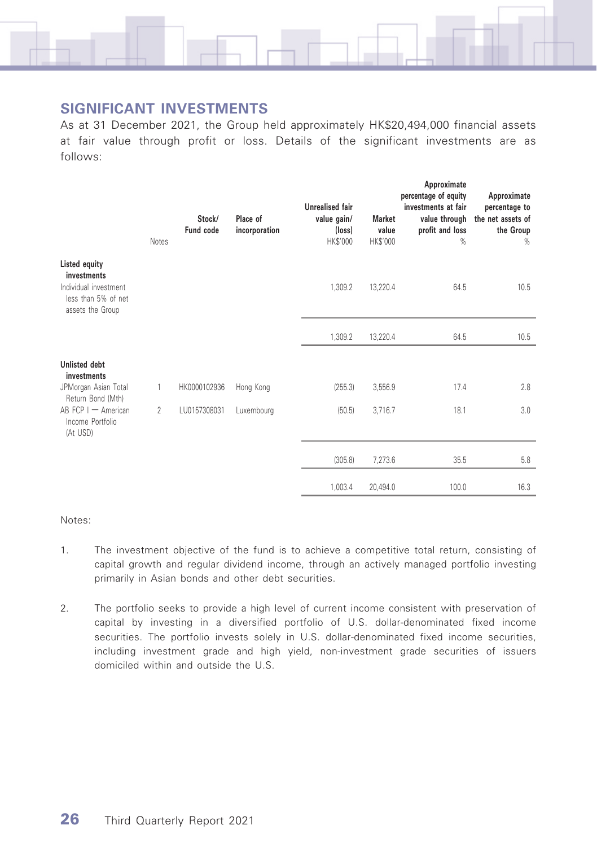

# **SIGNIFICANT INVESTMENTS**

As at 31 December 2021, the Group held approximately HK\$20,494,000 financial assets at fair value through profit or loss. Details of the significant investments are as follows:

|                                                                                                  | Notes          | Stock/<br>Fund code | Place of<br>incorporation | <b>Unrealised fair</b><br>value gain/<br>(loss)<br><b>HK\$'000</b> | <b>Market</b><br>value<br><b>HK\$'000</b> | Approximate<br>percentage of equity<br>investments at fair<br>value through<br>profit and loss<br>$\%$ | Approximate<br>percentage to<br>the net assets of<br>the Group<br>$\%$ |
|--------------------------------------------------------------------------------------------------|----------------|---------------------|---------------------------|--------------------------------------------------------------------|-------------------------------------------|--------------------------------------------------------------------------------------------------------|------------------------------------------------------------------------|
| Listed equity<br>investments<br>Individual investment<br>less than 5% of net<br>assets the Group |                |                     |                           | 1,309.2                                                            | 13,220.4                                  | 64.5                                                                                                   | 10.5                                                                   |
|                                                                                                  |                |                     |                           | 1,309.2                                                            | 13,220.4                                  | 64.5                                                                                                   | 10.5                                                                   |
| <b>Unlisted debt</b><br>investments                                                              |                |                     |                           |                                                                    |                                           |                                                                                                        |                                                                        |
| JPMorgan Asian Total<br>Return Bond (Mth)                                                        | 1              | HK0000102936        | Hong Kong                 | (255.3)                                                            | 3,556.9                                   | 17.4                                                                                                   | 2.8                                                                    |
| AB FCP I - American<br>Income Portfolio<br>(At USD)                                              | $\mathfrak{D}$ | LU0157308031        | Luxembourg                | (50.5)                                                             | 3,716.7                                   | 18.1                                                                                                   | 3.0                                                                    |
|                                                                                                  |                |                     |                           | (305.8)                                                            | 7,273.6                                   | 35.5                                                                                                   | 5.8                                                                    |
|                                                                                                  |                |                     |                           | 1,003.4                                                            | 20,494.0                                  | 100.0                                                                                                  | 16.3                                                                   |

Notes:

- 1. The investment objective of the fund is to achieve a competitive total return, consisting of capital growth and regular dividend income, through an actively managed portfolio investing primarily in Asian bonds and other debt securities.
- 2. The portfolio seeks to provide a high level of current income consistent with preservation of capital by investing in a diversified portfolio of U.S. dollar-denominated fixed income securities. The portfolio invests solely in U.S. dollar-denominated fixed income securities, including investment grade and high yield, non-investment grade securities of issuers domiciled within and outside the U.S.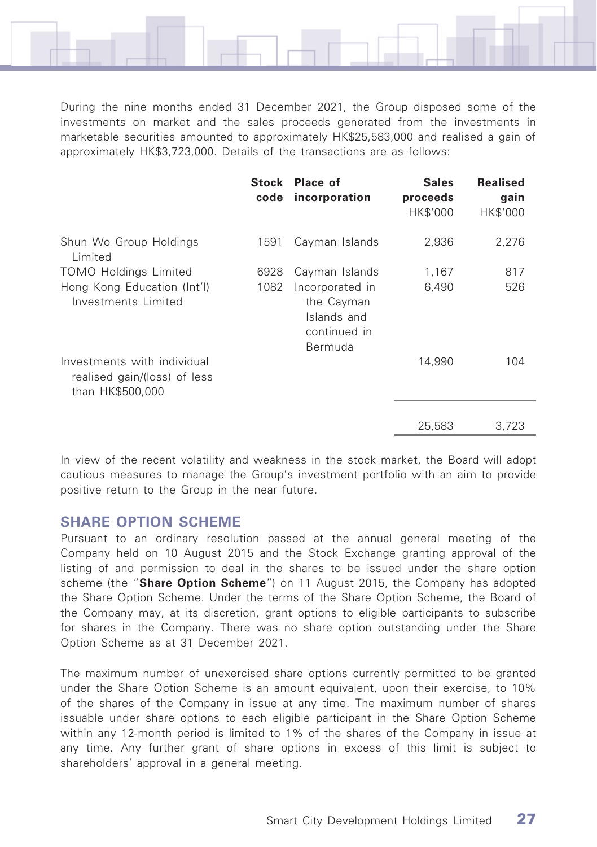

During the nine months ended 31 December 2021, the Group disposed some of the investments on market and the sales proceeds generated from the investments in marketable securities amounted to approximately HK\$25,583,000 and realised a gain of approximately HK\$3,723,000. Details of the transactions are as follows:

|                                                                                 |      | Stock Place of<br>code incorporation                                    | <b>Sales</b><br>proceeds<br><b>HK\$'000</b> | <b>Realised</b><br>gain<br><b>HK\$'000</b> |
|---------------------------------------------------------------------------------|------|-------------------------------------------------------------------------|---------------------------------------------|--------------------------------------------|
| Shun Wo Group Holdings<br>Limited                                               | 1591 | Cayman Islands                                                          | 2,936                                       | 2,276                                      |
| <b>TOMO Holdings Limited</b>                                                    | 6928 | Cayman Islands                                                          | 1,167                                       | 817                                        |
| Hong Kong Education (Int'l)<br>Investments Limited                              | 1082 | Incorporated in<br>the Cayman<br>Islands and<br>continued in<br>Bermuda | 6,490                                       | 526                                        |
| Investments with individual<br>realised gain/(loss) of less<br>than HK\$500,000 |      |                                                                         | 14.990                                      | 104                                        |
|                                                                                 |      |                                                                         | 25,583                                      | 3,723                                      |

In view of the recent volatility and weakness in the stock market, the Board will adopt cautious measures to manage the Group's investment portfolio with an aim to provide positive return to the Group in the near future.

#### **SHARE OPTION SCHEME**

Pursuant to an ordinary resolution passed at the annual general meeting of the Company held on 10 August 2015 and the Stock Exchange granting approval of the listing of and permission to deal in the shares to be issued under the share option scheme (the "**Share Option Scheme**") on 11 August 2015, the Company has adopted the Share Option Scheme. Under the terms of the Share Option Scheme, the Board of the Company may, at its discretion, grant options to eligible participants to subscribe for shares in the Company. There was no share option outstanding under the Share Option Scheme as at 31 December 2021.

The maximum number of unexercised share options currently permitted to be granted under the Share Option Scheme is an amount equivalent, upon their exercise, to 10% of the shares of the Company in issue at any time. The maximum number of shares issuable under share options to each eligible participant in the Share Option Scheme within any 12-month period is limited to 1% of the shares of the Company in issue at any time. Any further grant of share options in excess of this limit is subject to shareholders' approval in a general meeting.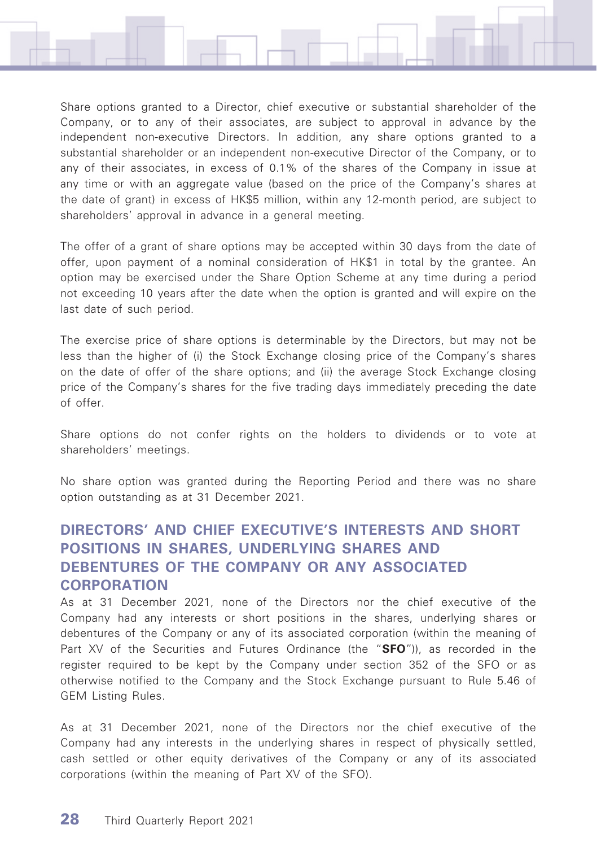Share options granted to a Director, chief executive or substantial shareholder of the Company, or to any of their associates, are subject to approval in advance by the independent non-executive Directors. In addition, any share options granted to a substantial shareholder or an independent non-executive Director of the Company, or to any of their associates, in excess of 0.1% of the shares of the Company in issue at any time or with an aggregate value (based on the price of the Company's shares at the date of grant) in excess of HK\$5 million, within any 12-month period, are subject to shareholders' approval in advance in a general meeting.

The offer of a grant of share options may be accepted within 30 days from the date of offer, upon payment of a nominal consideration of HK\$1 in total by the grantee. An option may be exercised under the Share Option Scheme at any time during a period not exceeding 10 years after the date when the option is granted and will expire on the last date of such period.

The exercise price of share options is determinable by the Directors, but may not be less than the higher of (i) the Stock Exchange closing price of the Company's shares on the date of offer of the share options; and (ii) the average Stock Exchange closing price of the Company's shares for the five trading days immediately preceding the date of offer.

Share options do not confer rights on the holders to dividends or to vote at shareholders' meetings.

No share option was granted during the Reporting Period and there was no share option outstanding as at 31 December 2021.

# **DIRECTORS' AND CHIEF EXECUTIVE'S INTERESTS AND SHORT POSITIONS IN SHARES, UNDERLYING SHARES AND DEBENTURES OF THE COMPANY OR ANY ASSOCIATED CORPORATION**

As at 31 December 2021, none of the Directors nor the chief executive of the Company had any interests or short positions in the shares, underlying shares or debentures of the Company or any of its associated corporation (within the meaning of Part XV of the Securities and Futures Ordinance (the "**SFO**")), as recorded in the register required to be kept by the Company under section 352 of the SFO or as otherwise notified to the Company and the Stock Exchange pursuant to Rule 5.46 of GEM Listing Rules.

As at 31 December 2021, none of the Directors nor the chief executive of the Company had any interests in the underlying shares in respect of physically settled, cash settled or other equity derivatives of the Company or any of its associated corporations (within the meaning of Part XV of the SFO).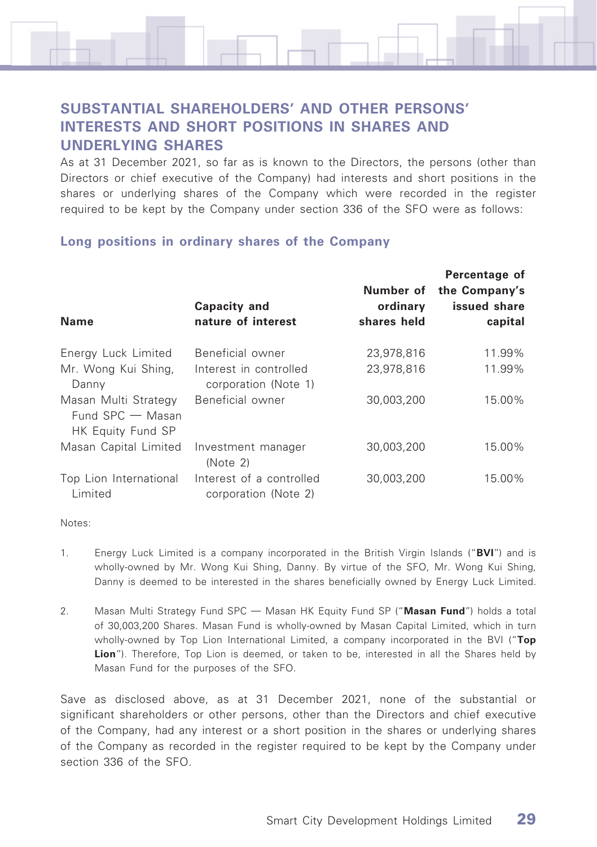

# **SUBSTANTIAL SHAREHOLDERS' AND OTHER PERSONS' INTERESTS AND SHORT POSITIONS IN SHARES AND UNDERLYING SHARES**

As at 31 December 2021, so far as is known to the Directors, the persons (other than Directors or chief executive of the Company) had interests and short positions in the shares or underlying shares of the Company which were recorded in the register required to be kept by the Company under section 336 of the SFO were as follows:

### **Long positions in ordinary shares of the Company**

| <b>Name</b>                                                   | Capacity and<br>nature of interest               | Number of<br>ordinary<br>shares held | Percentage of<br>the Company's<br>issued share<br>capital |
|---------------------------------------------------------------|--------------------------------------------------|--------------------------------------|-----------------------------------------------------------|
| Energy Luck Limited                                           | Beneficial owner                                 | 23,978,816                           | 11.99%                                                    |
| Mr. Wong Kui Shing,<br>Danny                                  | Interest in controlled<br>corporation (Note 1)   | 23.978.816                           | 11.99%                                                    |
| Masan Multi Strategy<br>Fund SPC - Masan<br>HK Equity Fund SP | Beneficial owner                                 | 30.003.200                           | 15.00%                                                    |
| Masan Capital Limited                                         | Investment manager<br>(Note 2)                   | 30.003.200                           | 15.00%                                                    |
| Top Lion International<br>Limited                             | Interest of a controlled<br>corporation (Note 2) | 30.003.200                           | 15.00%                                                    |

Notes:

- 1. Energy Luck Limited is a company incorporated in the British Virgin Islands ("**BVI**") and is wholly-owned by Mr. Wong Kui Shing, Danny. By virtue of the SFO, Mr. Wong Kui Shing, Danny is deemed to be interested in the shares beneficially owned by Energy Luck Limited.
- 2. Masan Multi Strategy Fund SPC Masan HK Equity Fund SP ("**Masan Fund**") holds a total of 30,003,200 Shares. Masan Fund is wholly-owned by Masan Capital Limited, which in turn wholly-owned by Top Lion International Limited, a company incorporated in the BVI ("**Top Lion**"). Therefore, Top Lion is deemed, or taken to be, interested in all the Shares held by Masan Fund for the purposes of the SFO.

Save as disclosed above, as at 31 December 2021, none of the substantial or significant shareholders or other persons, other than the Directors and chief executive of the Company, had any interest or a short position in the shares or underlying shares of the Company as recorded in the register required to be kept by the Company under section 336 of the SFO.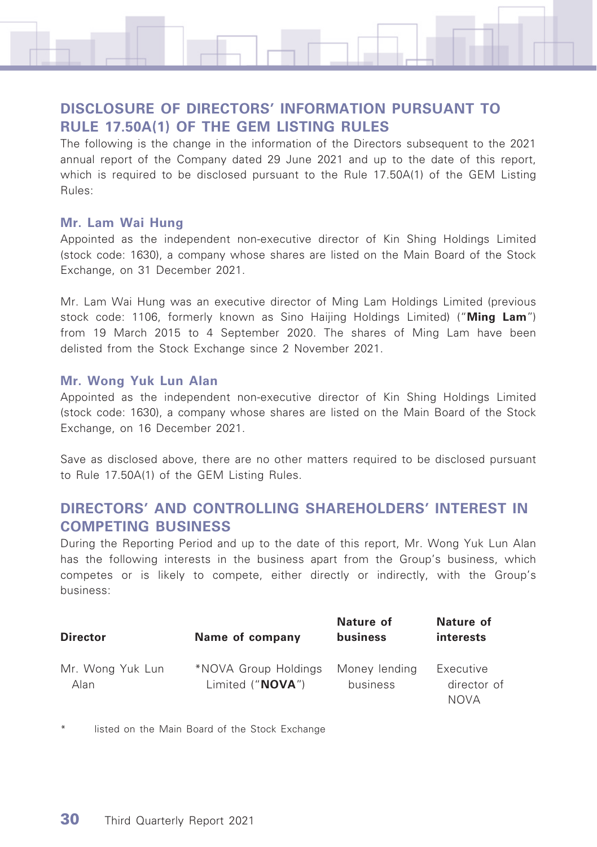

# **DISCLOSURE OF DIRECTORS' INFORMATION PURSUANT TO RULE 17.50A(1) OF THE GEM LISTING RULES**

The following is the change in the information of the Directors subsequent to the 2021 annual report of the Company dated 29 June 2021 and up to the date of this report, which is required to be disclosed pursuant to the Rule 17.50A(1) of the GEM Listing Rules:

#### **Mr. Lam Wai Hung**

Appointed as the independent non-executive director of Kin Shing Holdings Limited (stock code: 1630), a company whose shares are listed on the Main Board of the Stock Exchange, on 31 December 2021.

Mr. Lam Wai Hung was an executive director of Ming Lam Holdings Limited (previous stock code: 1106, formerly known as Sino Haijing Holdings Limited) ("**Ming Lam**") from 19 March 2015 to 4 September 2020. The shares of Ming Lam have been delisted from the Stock Exchange since 2 November 2021.

#### **Mr. Wong Yuk Lun Alan**

Appointed as the independent non-executive director of Kin Shing Holdings Limited (stock code: 1630), a company whose shares are listed on the Main Board of the Stock Exchange, on 16 December 2021.

Save as disclosed above, there are no other matters required to be disclosed pursuant to Rule 17.50A(1) of the GEM Listing Rules.

# **DIRECTORS' AND CONTROLLING SHAREHOLDERS' INTEREST IN COMPETING BUSINESS**

During the Reporting Period and up to the date of this report, Mr. Wong Yuk Lun Alan has the following interests in the business apart from the Group's business, which competes or is likely to compete, either directly or indirectly, with the Group's business:

| <b>Director</b>          | Name of company                          | Nature of<br>business     | Nature of<br>interests                  |  |
|--------------------------|------------------------------------------|---------------------------|-----------------------------------------|--|
| Mr. Wong Yuk Lun<br>Alan | *NOVA Group Holdings<br>Limited ("NOVA") | Monev lendina<br>business | Executive<br>director of<br><b>NOVA</b> |  |

listed on the Main Board of the Stock Exchange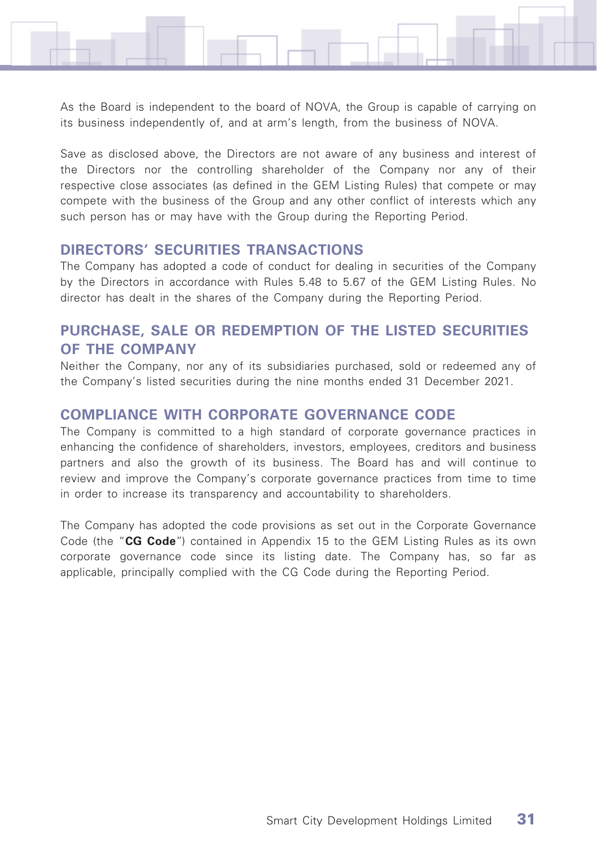

As the Board is independent to the board of NOVA, the Group is capable of carrying on its business independently of, and at arm's length, from the business of NOVA.

Save as disclosed above, the Directors are not aware of any business and interest of the Directors nor the controlling shareholder of the Company nor any of their respective close associates (as defined in the GEM Listing Rules) that compete or may compete with the business of the Group and any other conflict of interests which any such person has or may have with the Group during the Reporting Period.

# **DIRECTORS' SECURITIES TRANSACTIONS**

The Company has adopted a code of conduct for dealing in securities of the Company by the Directors in accordance with Rules 5.48 to 5.67 of the GEM Listing Rules. No director has dealt in the shares of the Company during the Reporting Period.

# **PURCHASE, SALE OR REDEMPTION OF THE LISTED SECURITIES OF THE COMPANY**

Neither the Company, nor any of its subsidiaries purchased, sold or redeemed any of the Company's listed securities during the nine months ended 31 December 2021.

# **COMPLIANCE WITH CORPORATE GOVERNANCE CODE**

The Company is committed to a high standard of corporate governance practices in enhancing the confidence of shareholders, investors, employees, creditors and business partners and also the growth of its business. The Board has and will continue to review and improve the Company's corporate governance practices from time to time in order to increase its transparency and accountability to shareholders.

The Company has adopted the code provisions as set out in the Corporate Governance Code (the "**CG Code**") contained in Appendix 15 to the GEM Listing Rules as its own corporate governance code since its listing date. The Company has, so far as applicable, principally complied with the CG Code during the Reporting Period.